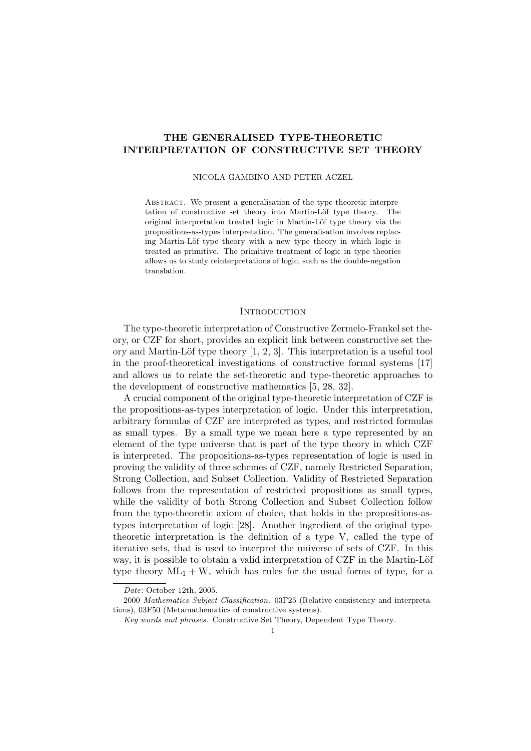# THE GENERALISED TYPE-THEORETIC INTERPRETATION OF CONSTRUCTIVE SET THEORY

#### NICOLA GAMBINO AND PETER ACZEL

ABSTRACT. We present a generalisation of the type-theoretic interpretation of constructive set theory into Martin-Löf type theory. The original interpretation treated logic in Martin-Löf type theory via the propositions-as-types interpretation. The generalisation involves replacing Martin-Löf type theory with a new type theory in which logic is treated as primitive. The primitive treatment of logic in type theories allows us to study reinterpretations of logic, such as the double-negation translation.

## **INTRODUCTION**

The type-theoretic interpretation of Constructive Zermelo-Frankel set theory, or CZF for short, provides an explicit link between constructive set theory and Martin-Löf type theory  $[1, 2, 3]$ . This interpretation is a useful tool in the proof-theoretical investigations of constructive formal systems [17] and allows us to relate the set-theoretic and type-theoretic approaches to the development of constructive mathematics [5, 28, 32].

A crucial component of the original type-theoretic interpretation of CZF is the propositions-as-types interpretation of logic. Under this interpretation, arbitrary formulas of CZF are interpreted as types, and restricted formulas as small types. By a small type we mean here a type represented by an element of the type universe that is part of the type theory in which CZF is interpreted. The propositions-as-types representation of logic is used in proving the validity of three schemes of CZF, namely Restricted Separation, Strong Collection, and Subset Collection. Validity of Restricted Separation follows from the representation of restricted propositions as small types, while the validity of both Strong Collection and Subset Collection follow from the type-theoretic axiom of choice, that holds in the propositions-astypes interpretation of logic [28]. Another ingredient of the original typetheoretic interpretation is the definition of a type V, called the type of iterative sets, that is used to interpret the universe of sets of CZF. In this way, it is possible to obtain a valid interpretation of CZF in the Martin-Löf type theory  $ML_1 + W$ , which has rules for the usual forms of type, for a

Date: October 12th, 2005.

<sup>2000</sup> Mathematics Subject Classification. 03F25 (Relative consistency and interpretations), 03F50 (Metamathematics of constructive systems).

Key words and phrases. Constructive Set Theory, Dependent Type Theory.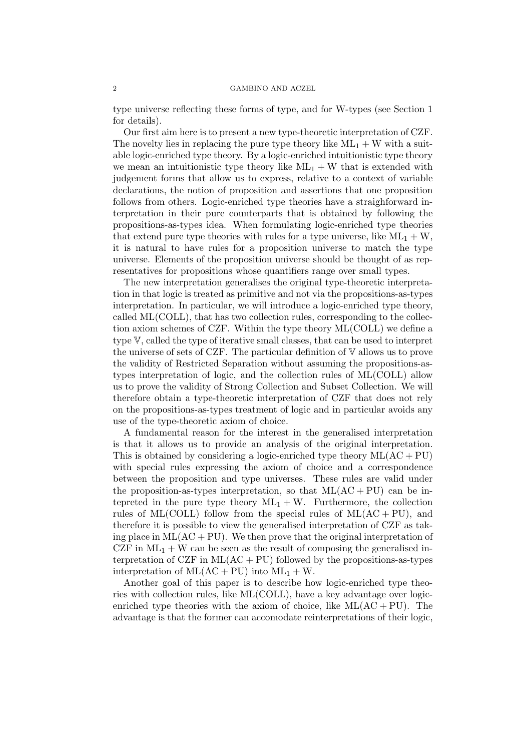type universe reflecting these forms of type, and for W-types (see Section 1 for details).

Our first aim here is to present a new type-theoretic interpretation of CZF. The novelty lies in replacing the pure type theory like  $ML_1 + W$  with a suitable logic-enriched type theory. By a logic-enriched intuitionistic type theory we mean an intuitionistic type theory like  $ML_1 + W$  that is extended with judgement forms that allow us to express, relative to a context of variable declarations, the notion of proposition and assertions that one proposition follows from others. Logic-enriched type theories have a straighforward interpretation in their pure counterparts that is obtained by following the propositions-as-types idea. When formulating logic-enriched type theories that extend pure type theories with rules for a type universe, like  $ML_1 + W$ , it is natural to have rules for a proposition universe to match the type universe. Elements of the proposition universe should be thought of as representatives for propositions whose quantifiers range over small types.

The new interpretation generalises the original type-theoretic interpretation in that logic is treated as primitive and not via the propositions-as-types interpretation. In particular, we will introduce a logic-enriched type theory, called ML(COLL), that has two collection rules, corresponding to the collection axiom schemes of CZF. Within the type theory ML(COLL) we define a type V, called the type of iterative small classes, that can be used to interpret the universe of sets of CZF. The particular definition of V allows us to prove the validity of Restricted Separation without assuming the propositions-astypes interpretation of logic, and the collection rules of ML(COLL) allow us to prove the validity of Strong Collection and Subset Collection. We will therefore obtain a type-theoretic interpretation of CZF that does not rely on the propositions-as-types treatment of logic and in particular avoids any use of the type-theoretic axiom of choice.

A fundamental reason for the interest in the generalised interpretation is that it allows us to provide an analysis of the original interpretation. This is obtained by considering a logic-enriched type theory  $ML(AC + PU)$ with special rules expressing the axiom of choice and a correspondence between the proposition and type universes. These rules are valid under the proposition-as-types interpretation, so that  $ML(AC + PU)$  can be intepreted in the pure type theory  $ML_1 + W$ . Furthermore, the collection rules of ML(COLL) follow from the special rules of  $ML(AC + PU)$ , and therefore it is possible to view the generalised interpretation of CZF as taking place in  $ML(AC + PU)$ . We then prove that the original interpretation of CZF in  $ML_1 + W$  can be seen as the result of composing the generalised interpretation of CZF in  $ML(AC + PU)$  followed by the propositions-as-types interpretation of  $ML(AC + PU)$  into  $ML<sub>1</sub> + W$ .

Another goal of this paper is to describe how logic-enriched type theories with collection rules, like ML(COLL), have a key advantage over logicenriched type theories with the axiom of choice, like  $ML(AC + PU)$ . The advantage is that the former can accomodate reinterpretations of their logic,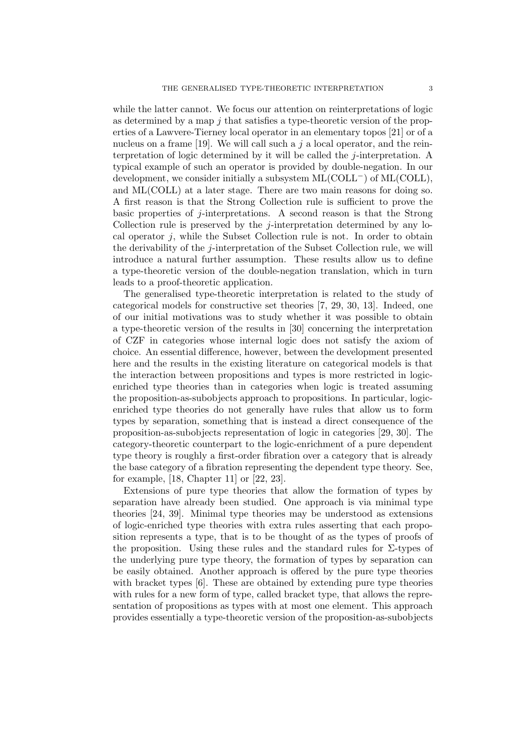while the latter cannot. We focus our attention on reinterpretations of logic as determined by a map  $j$  that satisfies a type-theoretic version of the properties of a Lawvere-Tierney local operator in an elementary topos [21] or of a nucleus on a frame [19]. We will call such a  $j$  a local operator, and the reinterpretation of logic determined by it will be called the j-interpretation. A typical example of such an operator is provided by double-negation. In our development, we consider initially a subsystem  $ML(COLL<sup>-</sup>)$  of  $ML(COLL)$ , and ML(COLL) at a later stage. There are two main reasons for doing so. A first reason is that the Strong Collection rule is sufficient to prove the basic properties of j-interpretations. A second reason is that the Strong Collection rule is preserved by the *j*-interpretation determined by any local operator  $j$ , while the Subset Collection rule is not. In order to obtain the derivability of the  $j$ -interpretation of the Subset Collection rule, we will introduce a natural further assumption. These results allow us to define a type-theoretic version of the double-negation translation, which in turn leads to a proof-theoretic application.

The generalised type-theoretic interpretation is related to the study of categorical models for constructive set theories [7, 29, 30, 13]. Indeed, one of our initial motivations was to study whether it was possible to obtain a type-theoretic version of the results in [30] concerning the interpretation of CZF in categories whose internal logic does not satisfy the axiom of choice. An essential difference, however, between the development presented here and the results in the existing literature on categorical models is that the interaction between propositions and types is more restricted in logicenriched type theories than in categories when logic is treated assuming the proposition-as-subobjects approach to propositions. In particular, logicenriched type theories do not generally have rules that allow us to form types by separation, something that is instead a direct consequence of the proposition-as-subobjects representation of logic in categories [29, 30]. The category-theoretic counterpart to the logic-enrichment of a pure dependent type theory is roughly a first-order fibration over a category that is already the base category of a fibration representing the dependent type theory. See, for example, [18, Chapter 11] or [22, 23].

Extensions of pure type theories that allow the formation of types by separation have already been studied. One approach is via minimal type theories [24, 39]. Minimal type theories may be understood as extensions of logic-enriched type theories with extra rules asserting that each proposition represents a type, that is to be thought of as the types of proofs of the proposition. Using these rules and the standard rules for  $\Sigma$ -types of the underlying pure type theory, the formation of types by separation can be easily obtained. Another approach is offered by the pure type theories with bracket types [6]. These are obtained by extending pure type theories with rules for a new form of type, called bracket type, that allows the representation of propositions as types with at most one element. This approach provides essentially a type-theoretic version of the proposition-as-subobjects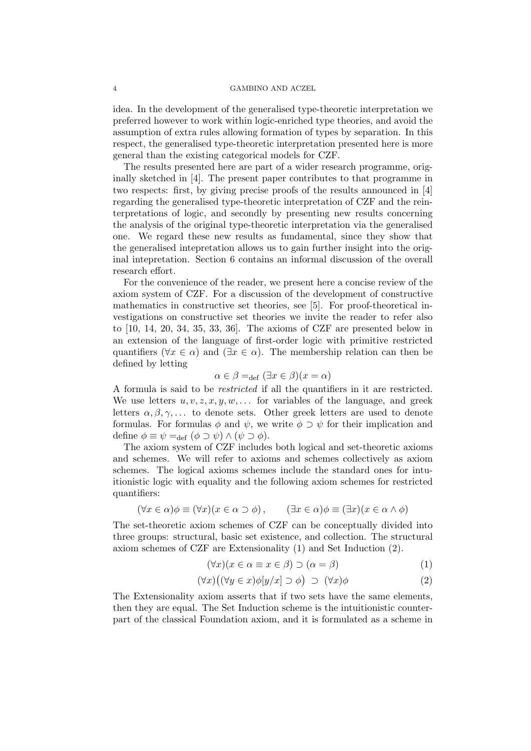idea. In the development of the generalised type-theoretic interpretation we preferred however to work within logic-enriched type theories, and avoid the assumption of extra rules allowing formation of types by separation. In this respect, the generalised type-theoretic interpretation presented here is more general than the existing categorical models for CZF.

The results presented here are part of a wider research programme, originally sketched in [4]. The present paper contributes to that programme in two respects: first, by giving precise proofs of the results announced in [4] regarding the generalised type-theoretic interpretation of CZF and the reinterpretations of logic, and secondly by presenting new results concerning the analysis of the original type-theoretic interpretation via the generalised one. We regard these new results as fundamental, since they show that the generalised intepretation allows us to gain further insight into the original intepretation. Section 6 contains an informal discussion of the overall research effort.

For the convenience of the reader, we present here a concise review of the axiom system of CZF. For a discussion of the development of constructive mathematics in constructive set theories, see [5]. For proof-theoretical investigations on constructive set theories we invite the reader to refer also to [10, 14, 20, 34, 35, 33, 36]. The axioms of CZF are presented below in an extension of the language of first-order logic with primitive restricted quantifiers ( $\forall x \in \alpha$ ) and ( $\exists x \in \alpha$ ). The membership relation can then be defined by letting

$$
\alpha \in \beta =_{\text{def}} (\exists x \in \beta)(x = \alpha)
$$

A formula is said to be restricted if all the quantifiers in it are restricted. We use letters  $u, v, z, x, y, w, \ldots$  for variables of the language, and greek letters  $\alpha, \beta, \gamma, \ldots$  to denote sets. Other greek letters are used to denote formulas. For formulas  $\phi$  and  $\psi$ , we write  $\phi \supset \psi$  for their implication and define  $\phi \equiv \psi =_{\text{def}} (\phi \supset \psi) \wedge (\psi \supset \phi)$ .

The axiom system of CZF includes both logical and set-theoretic axioms and schemes. We will refer to axioms and schemes collectively as axiom schemes. The logical axioms schemes include the standard ones for intuitionistic logic with equality and the following axiom schemes for restricted quantifiers:

$$
(\forall x \in \alpha)\phi \equiv (\forall x)(x \in \alpha \supset \phi), \qquad (\exists x \in \alpha)\phi \equiv (\exists x)(x \in \alpha \wedge \phi)
$$

The set-theoretic axiom schemes of CZF can be conceptually divided into three groups: structural, basic set existence, and collection. The structural axiom schemes of CZF are Extensionality (1) and Set Induction (2).

$$
(\forall x)(x \in \alpha \equiv x \in \beta) \supset (\alpha = \beta) \tag{1}
$$

$$
(\forall x)( (\forall y \in x)\phi[y/x] \supset \phi) \supset (\forall x)\phi \tag{2}
$$

The Extensionality axiom asserts that if two sets have the same elements, then they are equal. The Set Induction scheme is the intuitionistic counterpart of the classical Foundation axiom, and it is formulated as a scheme in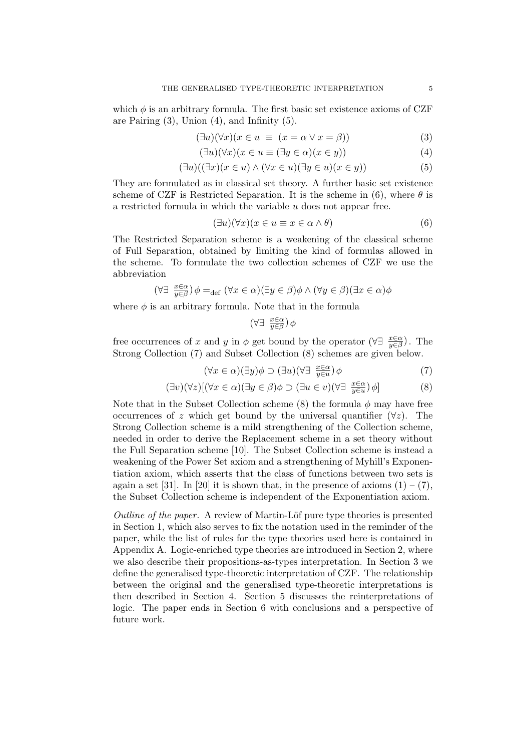which  $\phi$  is an arbitrary formula. The first basic set existence axioms of CZF are Pairing  $(3)$ , Union  $(4)$ , and Infinity  $(5)$ .

$$
(\exists u)(\forall x)(x \in u \equiv (x = \alpha \lor x = \beta))
$$
\n(3)

$$
(\exists u)(\forall x)(x \in u \equiv (\exists y \in \alpha)(x \in y))
$$
\n(4)

$$
(\exists u)((\exists x)(x \in u) \land (\forall x \in u)(\exists y \in u)(x \in y))
$$
\n
$$
(5)
$$

They are formulated as in classical set theory. A further basic set existence scheme of CZF is Restricted Separation. It is the scheme in (6), where  $\theta$  is a restricted formula in which the variable u does not appear free.

$$
(\exists u)(\forall x)(x \in u \equiv x \in \alpha \land \theta)
$$
\n<sup>(6)</sup>

The Restricted Separation scheme is a weakening of the classical scheme of Full Separation, obtained by limiting the kind of formulas allowed in the scheme. To formulate the two collection schemes of CZF we use the abbreviation

$$
(\forall \exists \ \frac{x \in \alpha}{y \in \beta}) \phi =_{\text{def}} (\forall x \in \alpha)(\exists y \in \beta) \phi \land (\forall y \in \beta)(\exists x \in \alpha) \phi
$$

where  $\phi$  is an arbitrary formula. Note that in the formula

$$
(\forall \exists \ \frac{x \in \alpha}{y \in \beta}) \phi
$$

free occurrences of x and y in  $\phi$  get bound by the operator ( $\forall \exists \frac{x \in \alpha}{y \in \beta}$ ). The Strong Collection (7) and Subset Collection (8) schemes are given below.

$$
(\forall x \in \alpha)(\exists y)\phi \supset (\exists u)(\forall \exists \ \frac{x \in \alpha}{y \in u})\phi \tag{7}
$$

$$
(\exists v)(\forall z)[(\forall x \in \alpha)(\exists y \in \beta)\phi \supset (\exists u \in v)(\forall \exists \ \frac{x \in \alpha}{y \in u})\phi]
$$
\n(8)

Note that in the Subset Collection scheme (8) the formula  $\phi$  may have free occurrences of z which get bound by the universal quantifier  $(\forall z)$ . The Strong Collection scheme is a mild strengthening of the Collection scheme, needed in order to derive the Replacement scheme in a set theory without the Full Separation scheme [10]. The Subset Collection scheme is instead a weakening of the Power Set axiom and a strengthening of Myhill's Exponentiation axiom, which asserts that the class of functions between two sets is again a set [31]. In [20] it is shown that, in the presence of axioms  $(1) - (7)$ , the Subset Collection scheme is independent of the Exponentiation axiom.

Outline of the paper. A review of Martin-Löf pure type theories is presented in Section 1, which also serves to fix the notation used in the reminder of the paper, while the list of rules for the type theories used here is contained in Appendix A. Logic-enriched type theories are introduced in Section 2, where we also describe their propositions-as-types interpretation. In Section 3 we define the generalised type-theoretic interpretation of CZF. The relationship between the original and the generalised type-theoretic interpretations is then described in Section 4. Section 5 discusses the reinterpretations of logic. The paper ends in Section 6 with conclusions and a perspective of future work.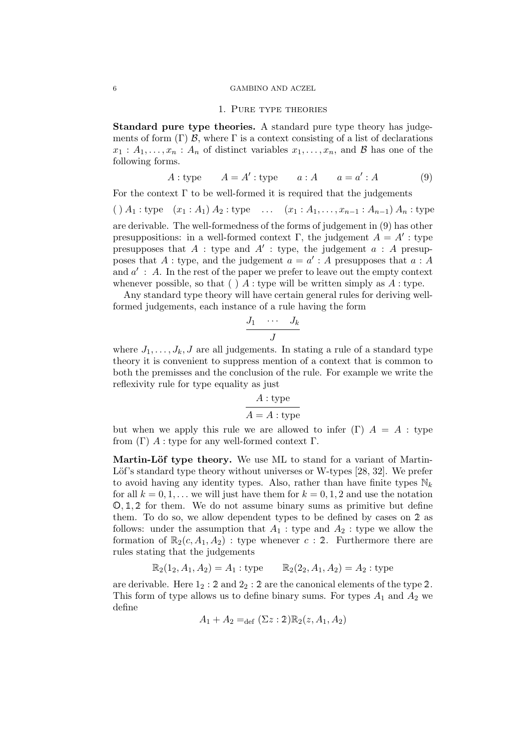#### 6 GAMBINO AND ACZEL

### 1. Pure type theories

Standard pure type theories. A standard pure type theory has judgements of form  $(\Gamma)$  B, where  $\Gamma$  is a context consisting of a list of declarations  $x_1 : A_1, \ldots, x_n : A_n$  of distinct variables  $x_1, \ldots, x_n$ , and B has one of the following forms.

$$
A: \text{type} \qquad A = A': \text{type} \qquad a: A \qquad a = a': A \tag{9}
$$

For the context  $\Gamma$  to be well-formed it is required that the judgements

 $( ) A_1 : type \t (x_1 : A_1) A_2 : type \t ... \t (x_1 : A_1, ..., x_{n-1} : A_{n-1}) A_n : type$ are derivable. The well-formedness of the forms of judgement in (9) has other presuppositions: in a well-formed context  $\Gamma$ , the judgement  $A = A'$ : type presupposes that  $A$ : type and  $A'$ : type, the judgement  $a : A$  presupposes that A : type, and the judgement  $a = a' : A$  presupposes that  $a : A$ and  $a'$ : A. In the rest of the paper we prefer to leave out the empty context whenever possible, so that ( ) A : type will be written simply as  $A$  : type.

Any standard type theory will have certain general rules for deriving wellformed judgements, each instance of a rule having the form

$$
\frac{J_1 \cdots J_k}{J}
$$

where  $J_1, \ldots, J_k, J$  are all judgements. In stating a rule of a standard type theory it is convenient to suppress mention of a context that is common to both the premisses and the conclusion of the rule. For example we write the reflexivity rule for type equality as just

$$
\cfrac{A:\text{type}}{A=A:\text{type}}
$$

but when we apply this rule we are allowed to infer  $(\Gamma)$   $A = A$ : type from  $(Γ)$  A : type for any well-formed context  $Γ$ .

Martin-Löf type theory. We use ML to stand for a variant of Martin-Löf's standard type theory without universes or W-types [28, 32]. We prefer to avoid having any identity types. Also, rather than have finite types  $\mathbb{N}_k$ for all  $k = 0, 1, \ldots$  we will just have them for  $k = 0, 1, 2$  and use the notation  $\mathbb{O}, \mathbb{1}, \mathbb{2}$  for them. We do not assume binary sums as primitive but define them. To do so, we allow dependent types to be defined by cases on 2 as follows: under the assumption that  $A_1$ : type and  $A_2$ : type we allow the formation of  $\mathbb{R}_2(c, A_1, A_2)$ : type whenever c : 2. Furthermore there are rules stating that the judgements

$$
\mathbb{R}_2(1_2, A_1, A_2) = A_1 : \text{type } \qquad \mathbb{R}_2(2_2, A_1, A_2) = A_2 : \text{type }
$$

are derivable. Here  $1_2 : 2$  and  $2_2 : 2$  are the canonical elements of the type 2. This form of type allows us to define binary sums. For types  $A_1$  and  $A_2$  we define

$$
A_1 + A_2 =_{def} (\Sigma z : 2) \mathbb{R}_2(z, A_1, A_2)
$$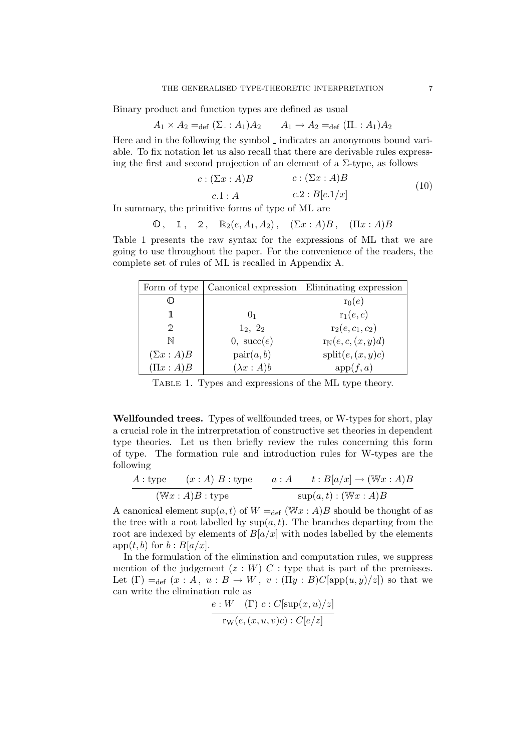Binary product and function types are defined as usual

$$
A_1 \times A_2 =_{\text{def}} (\Sigma : A_1) A_2 \qquad A_1 \to A_2 =_{\text{def}} (\Pi : A_1) A_2
$$

Here and in the following the symbol  $\overline{\ }$  indicates an anonymous bound variable. To fix notation let us also recall that there are derivable rules expressing the first and second projection of an element of a  $\Sigma$ -type, as follows

$$
\frac{c: (\Sigma x : A)B}{c.1 : A} \qquad \qquad \frac{c: (\Sigma x : A)B}{c.2 : B[c.1/x]}
$$
(10)

In summary, the primitive forms of type of ML are

$$
\mathbb{O}\,,\quad \mathbb{1}\,,\quad \mathbb{2}\,,\quad \mathbb{R}_2(e,A_1,A_2)\,,\quad (\Sigma x:A)B\,,\quad (\Pi x:A)B
$$

Table 1 presents the raw syntax for the expressions of ML that we are going to use throughout the paper. For the convenience of the readers, the complete set of rules of ML is recalled in Appendix A.

| Form of type    |                     | Canonical expression Eliminating expression |
|-----------------|---------------------|---------------------------------------------|
|                 |                     | $r_0(e)$                                    |
|                 | $()_1$              | $r_1(e,c)$                                  |
| ヮ               | $1_2, 2_2$          | $r_2(e, c_1, c_2)$                          |
| N               | $0, \;succ(e)$      | $r_{\mathbb{N}}(e, c, (x, y)d)$             |
| $(\Sigma x:A)B$ | $\text{pair}(a, b)$ | split(e, (x, y)c)                           |
| $(\Pi x : A)B$  | $(\lambda x:A)b$    | app(f,a)                                    |

Table 1. Types and expressions of the ML type theory.

Wellfounded trees. Types of wellfounded trees, or W-types for short, play a crucial role in the intrerpretation of constructive set theories in dependent type theories. Let us then briefly review the rules concerning this form of type. The formation rule and introduction rules for W-types are the following

$$
\frac{A: \text{type} \qquad (x:A) \ B: \text{type}}{\text{(Wx : A)}B: \text{type}} \qquad \frac{a:A \qquad t: B[a/x] \to (\text{Wx : A)}B}{\text{sup}(a,t): (\text{Wx : A)}B}
$$

A canonical element sup( $a, t$ ) of  $W =_{def} (\mathbb{W} x : A)B$  should be thought of as the tree with a root labelled by  $\sup(a, t)$ . The branches departing from the root are indexed by elements of  $B[a/x]$  with nodes labelled by the elements app $(t, b)$  for  $b : B[a/x]$ .

In the formulation of the elimination and computation rules, we suppress mention of the judgement  $(z:W)$  C : type that is part of the premisses. Let  $(\Gamma) =_{def} (x : A, u : B \to W, v : (\Pi y : B)C[app(u, y)/z])$  so that we can write the elimination rule as

$$
\frac{e:W \quad (\Gamma) \ c: C[\sup(x, u)/z]}{\operatorname{rw}(e, (x, u, v)c): C[e/z]}
$$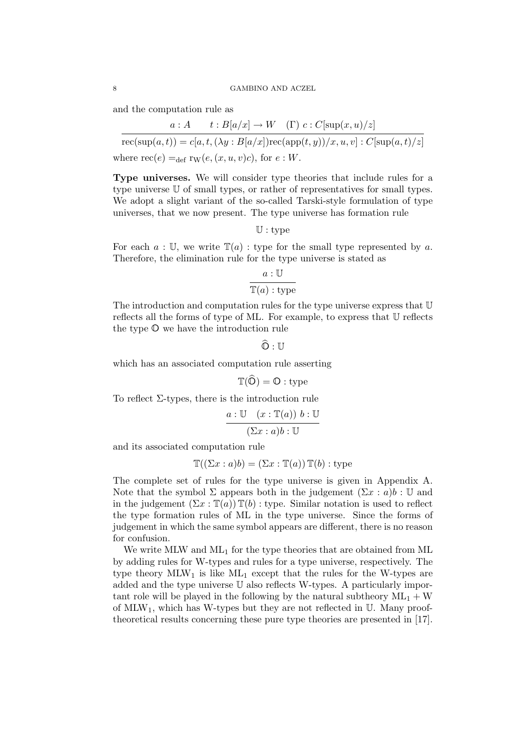and the computation rule as

 $a : A \t t : B[a/x] \to W \t (\Gamma) c : C[\sup(x, u)/z]$ 

 $\operatorname{rec}(\sup(a, t)) = c[a, t, (\lambda y : B[a/x]) \operatorname{rec}(\operatorname{app}(t, y)) / x, u, v] : C[\sup(a, t)/z]$ where  $\text{rec}(e) =_{\text{def}} \text{rw}(e,(x, u, v)c)$ , for  $e : W$ .

Type universes. We will consider type theories that include rules for a type universe U of small types, or rather of representatives for small types. We adopt a slight variant of the so-called Tarski-style formulation of type universes, that we now present. The type universe has formation rule

 $\mathbb{U}:$  type

For each  $a: \mathbb{U}$ , we write  $\mathbb{T}(a)$ : type for the small type represented by a. Therefore, the elimination rule for the type universe is stated as

$$
\frac{a:\mathbb{U}}{\mathbb{T}(a):\text{type}}
$$

The introduction and computation rules for the type universe express that U reflects all the forms of type of ML. For example, to express that U reflects the type O we have the introduction rule

 $\widehat{\mathbb{O}}: \mathbb{U}$ 

which has an associated computation rule asserting

$$
\mathbb{T}(\widehat{\mathbb{O}}) = \mathbb{O} : \text{type}
$$

To reflect  $\Sigma$ -types, there is the introduction rule

$$
\frac{a:\mathbb{U} \quad (x:\mathbb{T}(a)) \; b:\mathbb{U}}{(\Sigma x:a)b:\mathbb{U}}
$$

and its associated computation rule

$$
\mathbb{T}((\Sigma x : a)b) = (\Sigma x : \mathbb{T}(a)) \mathbb{T}(b) : \text{type}
$$

The complete set of rules for the type universe is given in Appendix A. Note that the symbol  $\Sigma$  appears both in the judgement  $(\Sigma x : a)b : \mathbb{U}$  and in the judgement  $(\Sigma x : \mathbb{T}(a)) \mathbb{T}(b)$ : type. Similar notation is used to reflect the type formation rules of ML in the type universe. Since the forms of judgement in which the same symbol appears are different, there is no reason for confusion.

We write MLW and  $ML_1$  for the type theories that are obtained from ML by adding rules for W-types and rules for a type universe, respectively. The type theory  $MLW_1$  is like  $ML_1$  except that the rules for the W-types are added and the type universe U also reflects W-types. A particularly important role will be played in the following by the natural subtheory  $ML_1 + W$ of  $MLW_1$ , which has W-types but they are not reflected in U. Many prooftheoretical results concerning these pure type theories are presented in [17].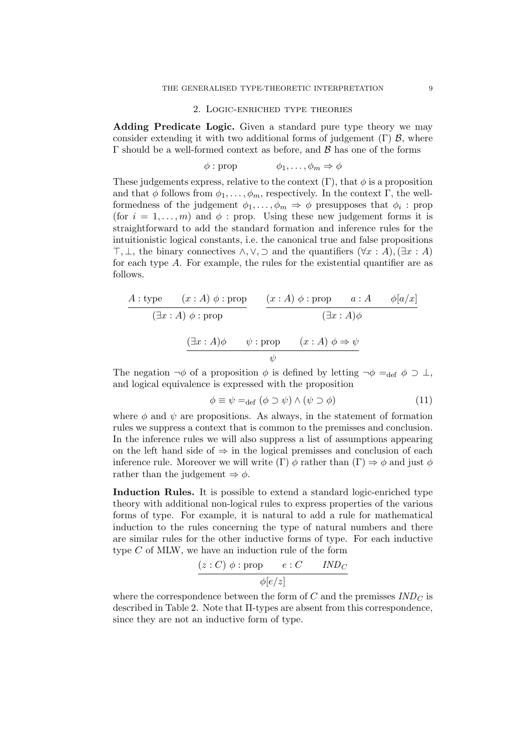#### 2. Logic-enriched type theories

Adding Predicate Logic. Given a standard pure type theory we may consider extending it with two additional forms of judgement  $(\Gamma)$   $\mathcal{B}$ , where  $\Gamma$  should be a well-formed context as before, and  $\beta$  has one of the forms

$$
\phi : \text{prop} \qquad \phi_1, \ldots, \phi_m \Rightarrow \phi
$$

These judgements express, relative to the context  $(\Gamma)$ , that  $\phi$  is a proposition and that  $\phi$  follows from  $\phi_1, \ldots, \phi_m$ , respectively. In the context Γ, the wellformedness of the judgement  $\phi_1, \ldots, \phi_m \Rightarrow \phi$  presupposes that  $\phi_i$ : prop (for  $i = 1, \ldots, m$ ) and  $\phi$ : prop. Using these new judgement forms it is straightforward to add the standard formation and inference rules for the intuitionistic logical constants, i.e. the canonical true and false propositions  $\top$ ,  $\bot$ , the binary connectives  $\land$ ,  $\lor$ ,  $\supset$  and the quantifiers  $(\forall x : A)$ ,  $(\exists x : A)$ for each type  $A$ . For example, the rules for the existential quantifier are as follows.

$$
\begin{array}{c}\nA: \text{type} \quad (x:A) \phi: \text{prop} \\
\hline\n\left(\exists x:A\right) \phi: \text{prop} \quad (x:A) \phi: \text{prop} \quad a:A \quad \phi[a/x] \\
\hline\n\left(\exists x:A\right) \phi \quad \psi: \text{prop} \quad (x:A) \phi \Rightarrow \psi \\
\hline\n\psi\n\end{array}
$$

The negation  $\neg \phi$  of a proposition  $\phi$  is defined by letting  $\neg \phi =_{\text{def}} \phi \supset \bot$ , and logical equivalence is expressed with the proposition

$$
\phi \equiv \psi =_{\text{def}} (\phi \supset \psi) \wedge (\psi \supset \phi) \tag{11}
$$

where  $\phi$  and  $\psi$  are propositions. As always, in the statement of formation rules we suppress a context that is common to the premisses and conclusion. In the inference rules we will also suppress a list of assumptions appearing on the left hand side of  $\Rightarrow$  in the logical premisses and conclusion of each inference rule. Moreover we will write  $(\Gamma) \phi$  rather than  $(\Gamma) \Rightarrow \phi$  and just  $\phi$ rather than the judgement  $\Rightarrow \phi$ .

Induction Rules. It is possible to extend a standard logic-enriched type theory with additional non-logical rules to express properties of the various forms of type. For example, it is natural to add a rule for mathematical induction to the rules concerning the type of natural numbers and there are similar rules for the other inductive forms of type. For each inductive type  $C$  of MLW, we have an induction rule of the form

$$
\frac{(z:C) \phi : \text{prop} \qquad e:C \qquad IND_C}{\phi[e/z]}
$$

where the correspondence between the form of  $C$  and the premisses  $IND_C$  is described in Table 2. Note that Π-types are absent from this correspondence, since they are not an inductive form of type.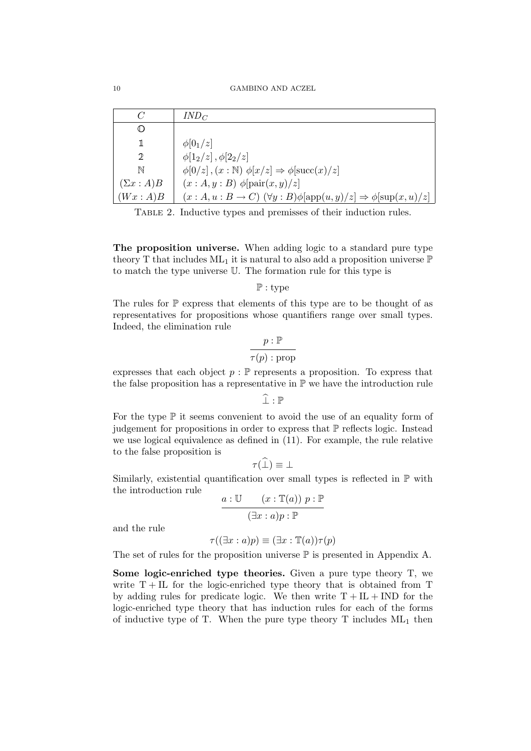| C               | $IND_C$                                                                                       |
|-----------------|-----------------------------------------------------------------------------------------------|
| ◑               |                                                                                               |
| 1               | $\phi[0_1/z]$                                                                                 |
| 2               | $\phi[1_2/z], \phi[2_2/z]$                                                                    |
| N               | $\phi[0/z], (x : \mathbb{N}) \phi[x/z] \Rightarrow \phi[\text{succ}(x)/z]$                    |
| $(\Sigma x:A)B$ | $(x:A,y:B)$ $\phi$ [pair $(x,y)/z$ ]                                                          |
| (Wx:A)B         | $(x:A, u:B \to C)$ $(\forall y:B)\phi[\text{app}(u,y)/z] \Rightarrow \phi[\text{sup}(x,u)/z]$ |

Table 2. Inductive types and premisses of their induction rules.

The proposition universe. When adding logic to a standard pure type theory T that includes  $ML_1$  it is natural to also add a proposition universe  $\mathbb P$ to match the type universe U. The formation rule for this type is

P : type

The rules for  $P$  express that elements of this type are to be thought of as representatives for propositions whose quantifiers range over small types. Indeed, the elimination rule

$$
\frac{p : \mathbb{P}}{\tau(p) : \text{prop}}
$$

expresses that each object  $p : \mathbb{P}$  represents a proposition. To express that the false proposition has a representative in  $\mathbb P$  we have the introduction rule

 $\widehat{\perp}$ :  $\mathbb P$ 

For the type  $\mathbb P$  it seems convenient to avoid the use of an equality form of judgement for propositions in order to express that  $\mathbb P$  reflects logic. Instead we use logical equivalence as defined in (11). For example, the rule relative to the false proposition is

$$
\tau(\widehat{\perp}) \equiv \perp
$$

Similarly, existential quantification over small types is reflected in  $\mathbb P$  with the introduction rule

$$
\frac{a:\mathbb{U} \quad (x:\mathbb{T}(a)) \ p:\mathbb{P} \quad ( \exists x:a)p:\mathbb{P} \quad}
$$

and the rule

$$
\tau((\exists x : a)p) \equiv (\exists x : \mathbb{T}(a))\tau(p)
$$

The set of rules for the proposition universe  $\mathbb P$  is presented in Appendix A.

Some logic-enriched type theories. Given a pure type theory T, we write  $T+IL$  for the logic-enriched type theory that is obtained from T by adding rules for predicate logic. We then write  $T + IL + IND$  for the logic-enriched type theory that has induction rules for each of the forms of inductive type of T. When the pure type theory T includes  $ML_1$  then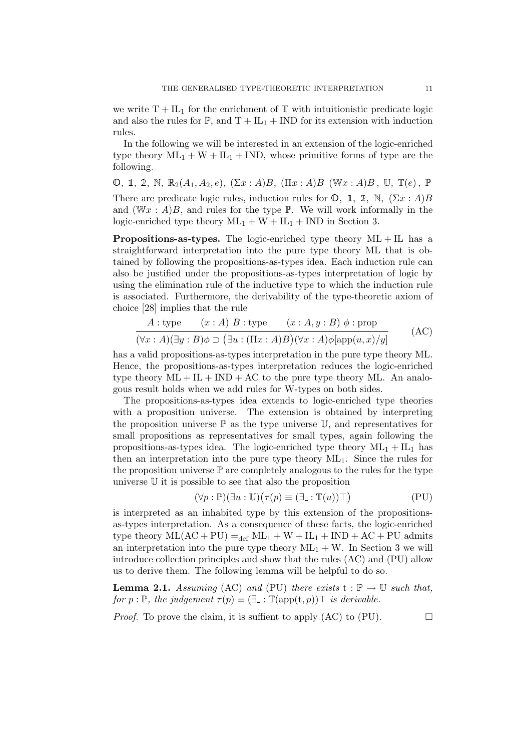we write  $T + IL_1$  for the enrichment of T with intuitionistic predicate logic and also the rules for  $\mathbb{P}$ , and  $T + IL_1 + IND$  for its extension with induction rules.

In the following we will be interested in an extension of the logic-enriched type theory  $ML_1 + W + IL_1 + IND$ , whose primitive forms of type are the following.

O, 1, 2, N,  $\mathbb{R}_2(A_1, A_2, e)$ ,  $(\Sigma x : A)B$ ,  $(\Pi x : A)B$  (W $x : A)B$ , U,  $\mathbb{T}(e)$ , P There are predicate logic rules, induction rules for  $\mathbb{O}$ , 1, 2, N,  $(\Sigma x : A)B$ and  $(Wx : A)B$ , and rules for the type  $\mathbb P$ . We will work informally in the logic-enriched type theory  $ML_1 + W + IL_1 + IND$  in Section 3.

**Propositions-as-types.** The logic-enriched type theory  $ML + IL$  has a straightforward interpretation into the pure type theory ML that is obtained by following the propositions-as-types idea. Each induction rule can also be justified under the propositions-as-types interpretation of logic by using the elimination rule of the inductive type to which the induction rule is associated. Furthermore, the derivability of the type-theoretic axiom of choice [28] implies that the rule

$$
\frac{A: \text{type} \quad (x:A) \ B: \text{type} \quad (x:A,y:B) \ \phi: \text{prop}}{(\forall x:A)(\exists y:B)\phi \supset (\exists u: (\Pi x:A)B)(\forall x:A)\phi[\text{app}(u,x)/y]} \tag{AC}
$$

has a valid propositions-as-types interpretation in the pure type theory ML. Hence, the propositions-as-types interpretation reduces the logic-enriched type theory  $ML + IL + IND + AC$  to the pure type theory ML. An analogous result holds when we add rules for W-types on both sides.

The propositions-as-types idea extends to logic-enriched type theories with a proposition universe. The extension is obtained by interpreting the proposition universe  $\mathbb P$  as the type universe  $\mathbb U$ , and representatives for small propositions as representatives for small types, again following the propositions-as-types idea. The logic-enriched type theory  $ML_1 + IL_1$  has then an interpretation into the pure type theory ML1. Since the rules for the proposition universe  $\mathbb P$  are completely analogous to the rules for the type universe U it is possible to see that also the proposition

$$
(\forall p : \mathbb{P})(\exists u : \mathbb{U})(\tau(p) \equiv (\exists \dots \mathbb{T}(u)) \top)
$$
 (PU)

is interpreted as an inhabited type by this extension of the propositionsas-types interpretation. As a consequence of these facts, the logic-enriched type theory  $ML(AC + PU) =_{def} ML_1 + W + IL_1 + IND + AC + PU$  admits an interpretation into the pure type theory  $ML_1 + W$ . In Section 3 we will introduce collection principles and show that the rules (AC) and (PU) allow us to derive them. The following lemma will be helpful to do so.

**Lemma 2.1.** Assuming (AC) and (PU) there exists  $t : \mathbb{P} \to \mathbb{U}$  such that, for  $p : \mathbb{P}$ , the judgement  $\tau(p) \equiv (\exists$  :  $\mathbb{T}(\text{app}(t, p))$  $\top$  is derivable.

*Proof.* To prove the claim, it is suffient to apply  $(AC)$  to  $(PU)$ .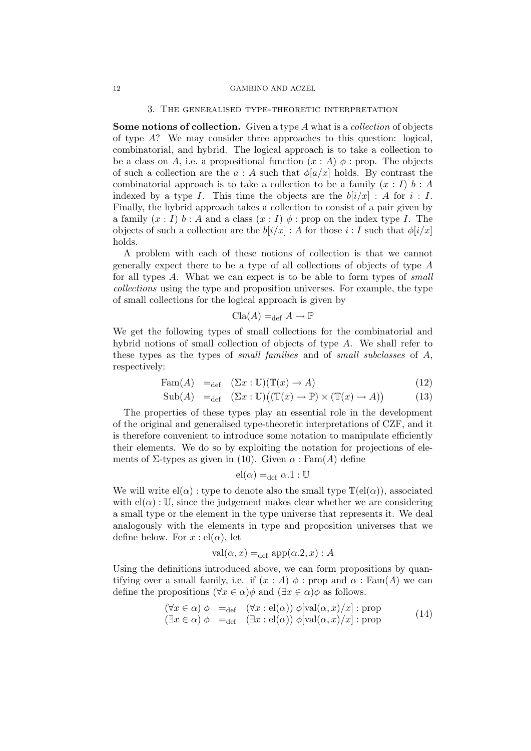### 12 GAMBINO AND ACZEL

### 3. The generalised type-theoretic interpretation

Some notions of collection. Given a type A what is a *collection* of objects of type  $A$ ? We may consider three approaches to this question: logical, combinatorial, and hybrid. The logical approach is to take a collection to be a class on A, i.e. a propositional function  $(x : A)$   $\phi$  : prop. The objects of such a collection are the  $a : A$  such that  $\phi[a/x]$  holds. By contrast the combinatorial approach is to take a collection to be a family  $(x : I) b : A$ indexed by a type I. This time the objects are the  $b[i/x]$ : A for  $i: I$ . Finally, the hybrid approach takes a collection to consist of a pair given by a family  $(x : I)$  b : A and a class  $(x : I)$   $\phi$  : prop on the index type I. The objects of such a collection are the  $b[i/x]$ : A for those  $i: I$  such that  $\phi[i/x]$ holds.

A problem with each of these notions of collection is that we cannot generally expect there to be a type of all collections of objects of type A for all types A. What we can expect is to be able to form types of small collections using the type and proposition universes. For example, the type of small collections for the logical approach is given by

$$
Cla(A) =_{def} A \to \mathbb{P}
$$

We get the following types of small collections for the combinatorial and hybrid notions of small collection of objects of type A. We shall refer to these types as the types of small families and of small subclasses of A, respectively:

$$
\text{Fam}(A) =_{\text{def}} (\Sigma x : \mathbb{U})(\mathbb{T}(x) \to A) \tag{12}
$$

$$
Sub(A) =_{def} (\Sigma x : \mathbb{U})((\mathbb{T}(x) \to \mathbb{P}) \times (\mathbb{T}(x) \to A))
$$
\n(13)

The properties of these types play an essential role in the development of the original and generalised type-theoretic interpretations of CZF, and it is therefore convenient to introduce some notation to manipulate efficiently their elements. We do so by exploiting the notation for projections of elements of  $\Sigma$ -types as given in (10). Given  $\alpha$ : Fam(A) define

$$
el(\alpha) =_{def} \alpha.1 : \mathbb{U}
$$

We will write  $el(\alpha)$ : type to denote also the small type  $\mathbb{T}(el(\alpha))$ , associated with  $\text{el}(\alpha)$ : U, since the judgement makes clear whether we are considering a small type or the element in the type universe that represents it. We deal analogously with the elements in type and proposition universes that we define below. For  $x : \text{el}(\alpha)$ , let

$$
val(\alpha, x) =_{def} app(\alpha.2, x) : A
$$

Using the definitions introduced above, we can form propositions by quantifying over a small family, i.e. if  $(x : A) \phi$ : prop and  $\alpha$ : Fam(A) we can define the propositions ( $\forall x \in \alpha$ ) $\phi$  and ( $\exists x \in \alpha$ ) $\phi$  as follows.

$$
(\forall x \in \alpha) \phi =_{def} (\forall x : el(\alpha)) \phi[\text{val}(\alpha, x)/x] : \text{prop}
$$
  

$$
(\exists x \in \alpha) \phi =_{def} (\exists x : el(\alpha)) \phi[\text{val}(\alpha, x)/x] : \text{prop}
$$
 (14)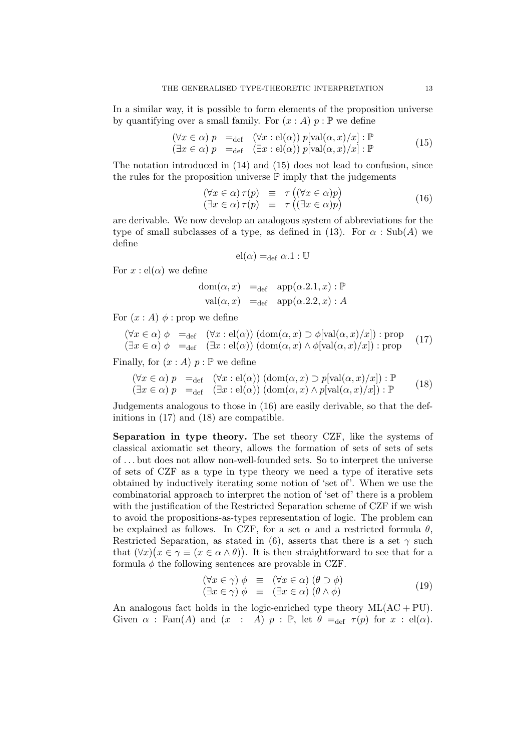In a similar way, it is possible to form elements of the proposition universe by quantifying over a small family. For  $(x : A)$   $p : \mathbb{P}$  we define

$$
(\forall x \in \alpha) p =_{def} (\forall x : el(\alpha)) p[val(\alpha, x)/x] : \mathbb{P}
$$
  

$$
(\exists x \in \alpha) p =_{def} (\exists x : el(\alpha)) p[val(\alpha, x)/x] : \mathbb{P}
$$
 (15)

The notation introduced in (14) and (15) does not lead to confusion, since the rules for the proposition universe  $\mathbb P$  imply that the judgements

$$
(\forall x \in \alpha) \tau(p) \equiv \tau ((\forall x \in \alpha)p)
$$
  
\n
$$
(\exists x \in \alpha) \tau(p) \equiv \tau ((\exists x \in \alpha)p)
$$
\n(16)

are derivable. We now develop an analogous system of abbreviations for the type of small subclasses of a type, as defined in (13). For  $\alpha$ : Sub(A) we define

$$
el(\alpha) =_{def} \alpha.1 : \mathbb{U}
$$

For  $x : \text{el}(\alpha)$  we define

$$
dom(\alpha, x) =_{def} app(\alpha.2.1, x) : \mathbb{P}
$$
  
val( $\alpha, x$ ) =<sub>def</sub> app( $\alpha.2.2, x$ ) : A

For  $(x : A)$   $\phi$  : prop we define

$$
(\forall x \in \alpha) \phi =_{def} (\forall x : el(\alpha)) (\text{dom}(\alpha, x) \supset \phi[\text{val}(\alpha, x)/x]) : \text{prop} \quad (17)
$$
  

$$
(\exists x \in \alpha) \phi =_{def} (\exists x : el(\alpha)) (\text{dom}(\alpha, x) \wedge \phi[\text{val}(\alpha, x)/x]) : \text{prop} \quad (17)
$$

Finally, for  $(x : A)$   $p : \mathbb{P}$  we define

$$
(\forall x \in \alpha) p =_{def} (\forall x : el(\alpha)) (\text{dom}(\alpha, x) \supset p[\text{val}(\alpha, x)/x]) : \mathbb{P}
$$
  

$$
(\exists x \in \alpha) p =_{def} (\exists x : el(\alpha)) (\text{dom}(\alpha, x) \wedge p[\text{val}(\alpha, x)/x]) : \mathbb{P}
$$
 (18)

Judgements analogous to those in (16) are easily derivable, so that the definitions in (17) and (18) are compatible.

Separation in type theory. The set theory CZF, like the systems of classical axiomatic set theory, allows the formation of sets of sets of sets of . . . but does not allow non-well-founded sets. So to interpret the universe of sets of CZF as a type in type theory we need a type of iterative sets obtained by inductively iterating some notion of 'set of'. When we use the combinatorial approach to interpret the notion of 'set of' there is a problem with the justification of the Restricted Separation scheme of CZF if we wish to avoid the propositions-as-types representation of logic. The problem can be explained as follows. In CZF, for a set  $\alpha$  and a restricted formula  $\theta$ , Restricted Separation, as stated in (6), asserts that there is a set  $\gamma$  such that  $(\forall x)(x \in \gamma \equiv (x \in \alpha \wedge \theta))$ . It is then straightforward to see that for a formula  $\phi$  the following sentences are provable in CZF.

$$
(\forall x \in \gamma) \phi \equiv (\forall x \in \alpha) (\theta \supset \phi) (\exists x \in \gamma) \phi \equiv (\exists x \in \alpha) (\theta \wedge \phi)
$$
(19)

An analogous fact holds in the logic-enriched type theory  $ML(AC + PU)$ . Given  $\alpha$ : Fam(A) and  $(x : A)$   $p : \mathbb{P}$ , let  $\theta =_{def} \tau(p)$  for  $x : el(\alpha)$ .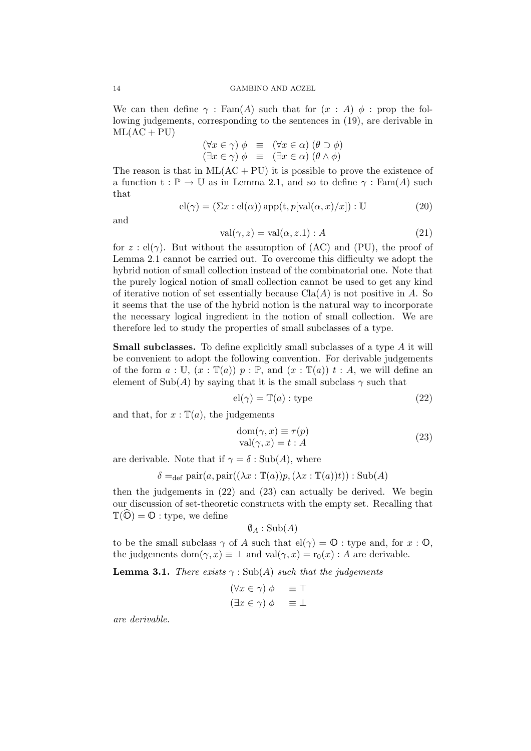We can then define  $\gamma$ : Fam(A) such that for  $(x : A)$   $\phi$ : prop the following judgements, corresponding to the sentences in (19), are derivable in  $ML(AC + PU)$ 

$$
(\forall x \in \gamma) \phi \equiv (\forall x \in \alpha) (\theta \supset \phi)
$$
  

$$
(\exists x \in \gamma) \phi \equiv (\exists x \in \alpha) (\theta \wedge \phi)
$$

The reason is that in  $ML(AC + PU)$  it is possible to prove the existence of a function  $t : \mathbb{P} \to \mathbb{U}$  as in Lemma 2.1, and so to define  $\gamma : \text{Fam}(A)$  such that

$$
el(\gamma) = (\Sigma x : el(\alpha)) \operatorname{app}(t, p[\operatorname{val}(\alpha, x)/x]) : \mathbb{U}
$$
\n(20)

and

$$
val(\gamma, z) = val(\alpha, z.1) : A
$$
\n(21)

for  $z : el(\gamma)$ . But without the assumption of (AC) and (PU), the proof of Lemma 2.1 cannot be carried out. To overcome this difficulty we adopt the hybrid notion of small collection instead of the combinatorial one. Note that the purely logical notion of small collection cannot be used to get any kind of iterative notion of set essentially because  $operatorname{Cla}(A)$  is not positive in A. So it seems that the use of the hybrid notion is the natural way to incorporate the necessary logical ingredient in the notion of small collection. We are therefore led to study the properties of small subclasses of a type.

**Small subclasses.** To define explicitly small subclasses of a type A it will be convenient to adopt the following convention. For derivable judgements of the form  $a: U, (x: \mathbb{T}(a))$   $p: \mathbb{P}$ , and  $(x: \mathbb{T}(a))$   $t: A$ , we will define an element of  $\text{Sub}(A)$  by saying that it is the small subclass  $\gamma$  such that

$$
el(\gamma) = T(a) : type
$$
 (22)

and that, for  $x : \mathbb{T}(a)$ , the judgements

$$
\text{dom}(\gamma, x) \equiv \tau(p) \n\text{val}(\gamma, x) = t : A
$$
\n(23)

are derivable. Note that if  $\gamma = \delta : \text{Sub}(A)$ , where

$$
\delta =_{\text{def}} \text{pair}(a, \text{pair}((\lambda x : \mathbb{T}(a))p, (\lambda x : \mathbb{T}(a))t)) : \text{Sub}(A)
$$

then the judgements in (22) and (23) can actually be derived. We begin our discussion of set-theoretic constructs with the empty set. Recalling that  $\mathbb{T}(\widehat{\mathbb{O}}) = \mathbb{O}$  : type, we define

$$
\emptyset_A : \operatorname{Sub}(A)
$$

to be the small subclass  $\gamma$  of A such that  $\text{el}(\gamma) = \mathbb{O}$  : type and, for  $x : \mathbb{O}$ , the judgements dom $(\gamma, x) \equiv \bot$  and val $(\gamma, x) = r_0(x) : A$  are derivable.

**Lemma 3.1.** There exists  $\gamma$ : Sub(A) such that the judgements

$$
(\forall x \in \gamma) \phi \equiv \top
$$
  

$$
(\exists x \in \gamma) \phi \equiv \bot
$$

are derivable.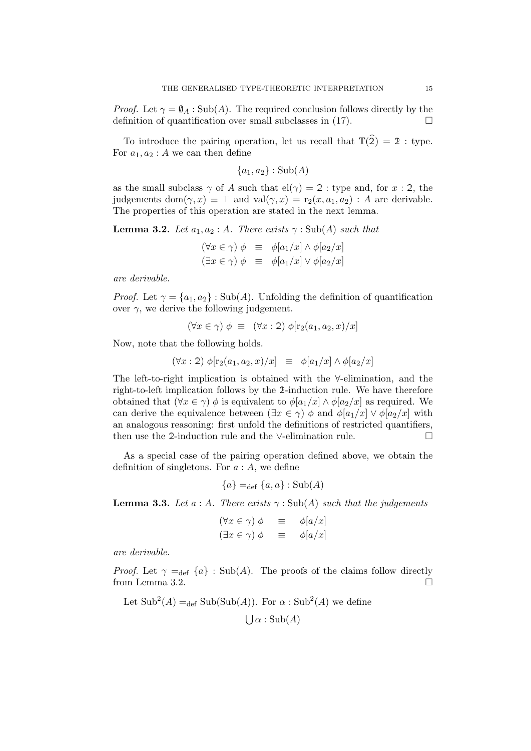*Proof.* Let  $\gamma = \emptyset_A$ : Sub(A). The required conclusion follows directly by the definition of quantification over small subclasses in  $(17)$ .

To introduce the pairing operation, let us recall that  $\mathbb{T}(\widehat{2}) = 2$ : type. For  $a_1, a_2 : A$  we can then define

$$
\{a_1, a_2\} : \mathrm{Sub}(A)
$$

as the small subclass  $\gamma$  of A such that  $\text{el}(\gamma) = 2$ : type and, for  $x : 2$ , the judgements dom $(\gamma, x) \equiv \top$  and val $(\gamma, x) = r_2(x, a_1, a_2)$ : A are derivable. The properties of this operation are stated in the next lemma.

**Lemma 3.2.** Let  $a_1, a_2 : A$ . There exists  $\gamma : Sub(A)$  such that

$$
(\forall x \in \gamma) \phi \equiv \phi[a_1/x] \land \phi[a_2/x]
$$
  

$$
(\exists x \in \gamma) \phi \equiv \phi[a_1/x] \lor \phi[a_2/x]
$$

are derivable.

*Proof.* Let  $\gamma = \{a_1, a_2\}$ : Sub(A). Unfolding the definition of quantification over  $\gamma$ , we derive the following judgement.

$$
(\forall x \in \gamma) \phi \equiv (\forall x : 2) \phi[r_2(a_1, a_2, x)/x]
$$

Now, note that the following holds.

$$
(\forall x: 2) \phi[r_2(a_1, a_2, x)/x] \equiv \phi[a_1/x] \wedge \phi[a_2/x]
$$

The left-to-right implication is obtained with the ∀-elimination, and the right-to-left implication follows by the 2-induction rule. We have therefore obtained that  $(\forall x \in \gamma)$   $\phi$  is equivalent to  $\phi[a_1/x] \wedge \phi[a_2/x]$  as required. We can derive the equivalence between  $(\exists x \in \gamma) \phi$  and  $\phi[a_1/x] \vee \phi[a_2/x]$  with an analogous reasoning: first unfold the definitions of restricted quantifiers, then use the 2-induction rule and the ∨-elimination rule.

As a special case of the pairing operation defined above, we obtain the definition of singletons. For  $a : A$ , we define

$$
\{a\} =_{\text{def}} \{a, a\} : \text{Sub}(A)
$$

**Lemma 3.3.** Let a : A. There exists  $\gamma$  : Sub(A) such that the judgements

$$
(\forall x \in \gamma) \phi \equiv \phi[a/x]
$$
  

$$
(\exists x \in \gamma) \phi \equiv \phi[a/x]
$$

are derivable.

*Proof.* Let  $\gamma =_{def} \{a\}$ : Sub(A). The proofs of the claims follow directly from Lemma 3.2.

Let  $\text{Sub}^2(A) =_{\text{def}} \text{Sub}(\text{Sub}(A))$ . For  $\alpha : \text{Sub}^2(A)$  we define

 $\bigcup \alpha : \mathrm{Sub}(A)$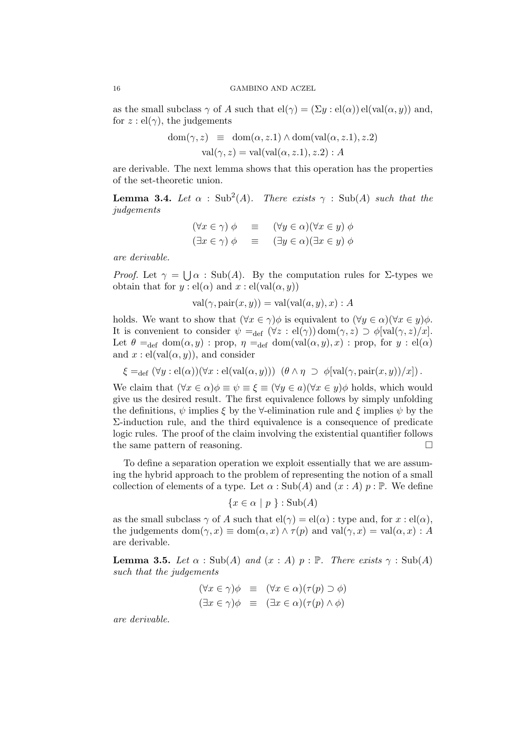as the small subclass  $\gamma$  of A such that  $\text{el}(\gamma) = (\Sigma y : \text{el}(\alpha)) \text{el}(\text{val}(\alpha, y))$  and, for  $z: \mathrm{el}(\gamma)$ , the judgements

$$
dom(\gamma, z) \equiv dom(\alpha, z.1) \land dom(val(\alpha, z.1), z.2)
$$
  
val( $\gamma$ ,  $z$ ) = val(val( $\alpha$ ,  $z.1$ ),  $z.2$ ) : A

are derivable. The next lemma shows that this operation has the properties of the set-theoretic union.

**Lemma 3.4.** Let  $\alpha$  : Sub<sup>2</sup>(A). There exists  $\gamma$  : Sub(A) such that the judgements

$$
(\forall x \in \gamma) \phi \equiv (\forall y \in \alpha)(\forall x \in y) \phi
$$
  

$$
(\exists x \in \gamma) \phi \equiv (\exists y \in \alpha)(\exists x \in y) \phi
$$

are derivable.

*Proof.* Let  $\gamma = \bigcup \alpha$ : Sub(A). By the computation rules for  $\Sigma$ -types we obtain that for  $y: \mathrm{el}(\alpha)$  and  $x: \mathrm{el}(\mathrm{val}(\alpha, y))$ 

$$
val(\gamma, \text{pair}(x, y)) = val(val(a, y), x) : A
$$

holds. We want to show that  $(\forall x \in \gamma)\phi$  is equivalent to  $(\forall y \in \alpha)(\forall x \in y)\phi$ . It is convenient to consider  $\psi =_{def} (\forall z : el(\gamma)) \text{dom}(\gamma, z) \supset \phi[\text{val}(\gamma, z)/x].$ Let  $\theta =_{def} dom(\alpha, y)$ : prop,  $\eta =_{def} dom(val(\alpha, y), x)$ : prop, for  $y : el(\alpha)$ and  $x : \text{el}(val(\alpha, y))$ , and consider

$$
\xi =_{\text{def}} (\forall y : \text{el}(\alpha))(\forall x : \text{el}(val(\alpha, y))) \ (\theta \land \eta \supset \phi[val(\gamma, \text{pair}(x, y))/x]).
$$

We claim that  $(\forall x \in \alpha) \phi \equiv \psi \equiv \xi \equiv (\forall y \in \alpha)(\forall x \in y) \phi$  holds, which would give us the desired result. The first equivalence follows by simply unfolding the definitions,  $\psi$  implies  $\xi$  by the  $\forall$ -elimination rule and  $\xi$  implies  $\psi$  by the Σ-induction rule, and the third equivalence is a consequence of predicate logic rules. The proof of the claim involving the existential quantifier follows the same pattern of reasoning.

To define a separation operation we exploit essentially that we are assuming the hybrid approach to the problem of representing the notion of a small collection of elements of a type. Let  $\alpha$ : Sub(A) and  $(x : A)$  p: P. We define

$$
\{x \in \alpha \mid p\} : \text{Sub}(A)
$$

as the small subclass  $\gamma$  of A such that  $\text{el}(\gamma) = \text{el}(\alpha)$ : type and, for  $x : \text{el}(\alpha)$ , the judgements dom $(\gamma, x) \equiv \text{dom}(\alpha, x) \wedge \tau(p)$  and  $\text{val}(\gamma, x) = \text{val}(\alpha, x) : A$ are derivable.

**Lemma 3.5.** Let  $\alpha$  : Sub(A) and  $(x : A)$   $p : \mathbb{P}$ . There exists  $\gamma : Sub(A)$ such that the judgements

$$
(\forall x \in \gamma)\phi \equiv (\forall x \in \alpha)(\tau(p) \supset \phi)
$$
  

$$
(\exists x \in \gamma)\phi \equiv (\exists x \in \alpha)(\tau(p) \land \phi)
$$

are derivable.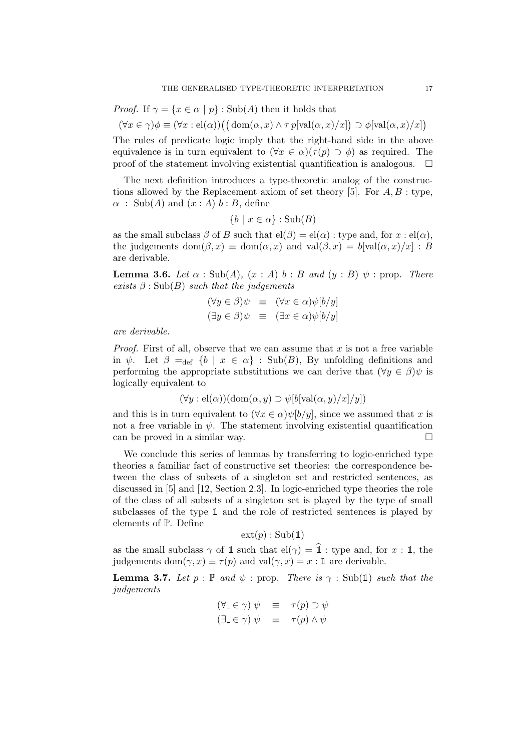*Proof.* If 
$$
\gamma = \{x \in \alpha \mid p\}
$$
: Sub(*A*) then it holds that

$$
(\forall x \in \gamma)\phi \equiv (\forall x : el(\alpha))((dom(\alpha, x) \land \tau p[val(\alpha, x)/x]) \supset \phi[val(\alpha, x)/x])
$$

The rules of predicate logic imply that the right-hand side in the above equivalence is in turn equivalent to  $(\forall x \in \alpha)(\tau(p) \supset \phi)$  as required. The proof of the statement involving existential quantification is analogous.  $\Box$ 

The next definition introduces a type-theoretic analog of the constructions allowed by the Replacement axiom of set theory [5]. For  $A, B$ : type,  $\alpha$ : Sub(A) and  $(x : A)$  b: B, define

$$
\{b \mid x \in \alpha\} : \text{Sub}(B)
$$

as the small subclass  $\beta$  of B such that  $el(\beta) = el(\alpha)$ ; type and, for  $x : el(\alpha)$ , the judgements dom $(\beta, x) \equiv \text{dom}(\alpha, x)$  and  $\text{val}(\beta, x) = b[\text{val}(\alpha, x)/x] : B$ are derivable.

**Lemma 3.6.** Let  $\alpha$  : Sub(A),  $(x : A)$  b : B and  $(y : B)$   $\psi$  : prop. There exists  $\beta$ : Sub(B) such that the judgements

$$
(\forall y \in \beta)\psi \equiv (\forall x \in \alpha)\psi[b/y]
$$
  

$$
(\exists y \in \beta)\psi \equiv (\exists x \in \alpha)\psi[b/y]
$$

are derivable.

*Proof.* First of all, observe that we can assume that  $x$  is not a free variable in  $\psi$ . Let  $\beta =_{def} \{b \mid x \in \alpha\}$ : Sub(B), By unfolding definitions and performing the appropriate substitutions we can derive that  $(\forall y \in \beta)\psi$  is logically equivalent to

$$
(\forall y : el(\alpha))(\text{dom}(\alpha, y) \supset \psi[b[\text{val}(\alpha, y)/x]/y])
$$

and this is in turn equivalent to  $(\forall x \in \alpha) \psi[b/y]$ , since we assumed that x is not a free variable in  $\psi$ . The statement involving existential quantification can be proved in a similar way.  $\Box$ 

We conclude this series of lemmas by transferring to logic-enriched type theories a familiar fact of constructive set theories: the correspondence between the class of subsets of a singleton set and restricted sentences, as discussed in [5] and [12, Section 2.3]. In logic-enriched type theories the role of the class of all subsets of a singleton set is played by the type of small subclasses of the type 1 and the role of restricted sentences is played by elements of P. Define

 $ext(p) : Sub(1)$ 

as the small subclass  $\gamma$  of 1 such that  $\mathrm{el}(\gamma) = \hat{\mathbb{1}}$  : type and, for  $x : \mathbb{1}$ , the judgements dom $(\gamma, x) \equiv \tau(p)$  and val $(\gamma, x) = x : \mathbb{1}$  are derivable.

**Lemma 3.7.** Let  $p : \mathbb{P}$  and  $\psi$  : prop. There is  $\gamma : \text{Sub}(\mathbb{1})$  such that the judgements

$$
(\forall_{-} \in \gamma) \psi \equiv \tau(p) \supset \psi
$$
  

$$
(\exists_{-} \in \gamma) \psi \equiv \tau(p) \wedge \psi
$$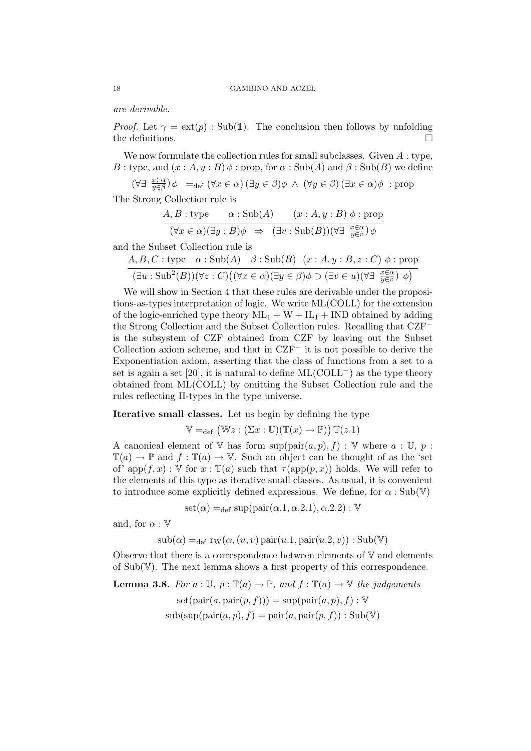are derivable.

*Proof.* Let  $\gamma = \text{ext}(p)$ : Sub(1). The conclusion then follows by unfolding the definitions.  $\Box$ 

We now formulate the collection rules for small subclasses. Given  $A$ : type, B : type, and  $(x : A, y : B)$   $\phi$  : prop, for  $\alpha$  : Sub(A) and  $\beta$  : Sub(B) we define

 $(\forall \exists \frac{x \in \alpha}{y \in \beta}) \phi =_{def} (\forall x \in \alpha) (\exists y \in \beta) \phi \land (\forall y \in \beta) (\exists x \in \alpha) \phi : prop$ 

The Strong Collection rule is

$$
\frac{A, B: \text{type}}{(\forall x \in \alpha)(\exists y : B)\phi \Rightarrow (\exists v : \text{Sub}(B))(\forall \exists \frac{x \in \alpha}{y \in v})\phi}
$$

and the Subset Collection rule is

$$
\frac{A, B, C: \text{type} \quad \alpha: \text{Sub}(A) \quad \beta: \text{Sub}(B) \quad (x:A, y:B, z:C) \phi: \text{prop}}{(\exists u: \text{Sub}^2(B))(\forall z: C)((\forall x \in \alpha)(\exists y \in \beta)\phi \supset (\exists v \in u)(\forall \exists \frac{x \in \alpha}{y \in v}) \phi)}
$$

We will show in Section 4 that these rules are derivable under the propositions-as-types interpretation of logic. We write ML(COLL) for the extension of the logic-enriched type theory  $ML_1 + W + IL_1 + IND$  obtained by adding the Strong Collection and the Subset Collection rules. Recalling that CZF<sup>−</sup> is the subsystem of CZF obtained from CZF by leaving out the Subset Collection axiom scheme, and that in CZF<sup>−</sup> it is not possible to derive the Exponentiation axiom, asserting that the class of functions from a set to a set is again a set [20], it is natural to define  $ML(COLL<sup>-</sup>)$  as the type theory obtained from ML(COLL) by omitting the Subset Collection rule and the rules reflecting Π-types in the type universe.

## Iterative small classes. Let us begin by defining the type

$$
\mathbb{V} =_{\text{def}} (\mathbb{W} z : (\Sigma x : \mathbb{U})(\mathbb{T}(x) \to \mathbb{P})) \mathbb{T}(z.1)
$$

A canonical element of V has form  $\text{sup}(\text{pair}(a, p), f) : V$  where  $a : U, p$ :  $\mathbb{T}(a) \to \mathbb{P}$  and  $f : \mathbb{T}(a) \to \mathbb{V}$ . Such an object can be thought of as the 'set of' app $(f, x) : V$  for  $x : T(a)$  such that  $\tau(\text{app}(p, x))$  holds. We will refer to the elements of this type as iterative small classes. As usual, it is convenient to introduce some explicitly defined expressions. We define, for  $\alpha : Sub(V)$ 

 $\text{set}(\alpha) =_{\text{def}} \text{sup}(\text{pair}(\alpha.1, \alpha.2.1), \alpha.2.2) : \mathbb{V}$ 

and, for  $\alpha : \mathbb{V}$ 

 $\text{sub}(\alpha) =_{\text{def}} \text{rw}(\alpha, (u, v) \text{pair}(u.1, \text{pair}(u.2, v)) : \text{Sub}(\mathbb{V}))$ 

Observe that there is a correspondence between elements of  $V$  and elements of Sub(V). The next lemma shows a first property of this correspondence.

**Lemma 3.8.** For  $a: \mathbb{U}, p: \mathbb{T}(a) \to \mathbb{P}$ , and  $f: \mathbb{T}(a) \to \mathbb{V}$  the judgements  $\operatorname{set}(\operatorname{pair}(a, \operatorname{pair}(p, f))) = \operatorname{sup}(\operatorname{pair}(a, p), f) : \mathbb{V}$  $\text{sub}(\text{sup}(\text{pair}(a, p), f) = \text{pair}(a, \text{pair}(p, f)) : \text{Sub}(\mathbb{V})$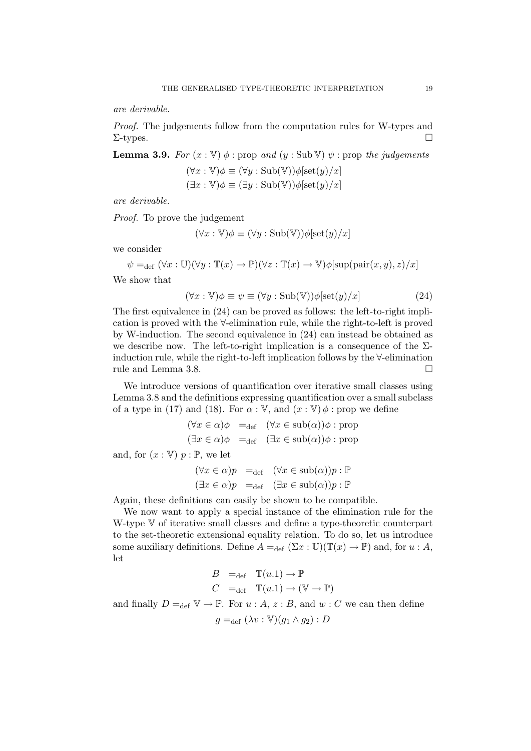are derivable.

Proof. The judgements follow from the computation rules for W-types and  $\Sigma$ -types.

**Lemma 3.9.** For  $(x : \mathbb{V})$   $\phi$  : prop and  $(y : \text{Sub } \mathbb{V})$   $\psi$  : prop the judgements

 $(\forall x : \mathbb{V})\phi \equiv (\forall y : \mathrm{Sub}(\mathbb{V}))\phi[\mathrm{set}(y)/x]$  $(\exists x : \mathbb{V})\phi \equiv (\exists y : \mathrm{Sub}(\mathbb{V}))\phi[\mathrm{set}(y)/x]$ 

are derivable.

Proof. To prove the judgement

$$
(\forall x : \mathbb{V})\phi \equiv (\forall y : \mathrm{Sub}(\mathbb{V}))\phi[\mathrm{set}(y)/x]
$$

we consider

$$
\psi =_{\text{def}} (\forall x : \mathbb{U})(\forall y : \mathbb{T}(x) \to \mathbb{P})(\forall z : \mathbb{T}(x) \to \mathbb{V})\phi[\text{sup}(\text{pair}(x, y), z)/x]
$$

We show that

$$
(\forall x : \mathbb{V})\phi \equiv \psi \equiv (\forall y : \text{Sub}(\mathbb{V}))\phi[\text{set}(y)/x]
$$
\n(24)

The first equivalence in (24) can be proved as follows: the left-to-right implication is proved with the ∀-elimination rule, while the right-to-left is proved by W-induction. The second equivalence in (24) can instead be obtained as we describe now. The left-to-right implication is a consequence of the  $\Sigma$ induction rule, while the right-to-left implication follows by the ∀-elimination rule and Lemma 3.8.

We introduce versions of quantification over iterative small classes using Lemma 3.8 and the definitions expressing quantification over a small subclass of a type in (17) and (18). For  $\alpha : V$ , and  $(x : V) \phi$ : prop we define

$$
(\forall x \in \alpha)\phi =_{def} (\forall x \in sub(\alpha))\phi : prop
$$
  

$$
(\exists x \in \alpha)\phi =_{def} (\exists x \in sub(\alpha))\phi : prop
$$

and, for  $(x : \mathbb{V})$   $p : \mathbb{P}$ , we let

$$
(\forall x \in \alpha)p =_{def} (\forall x \in sub(\alpha))p : \mathbb{P}
$$
  

$$
(\exists x \in \alpha)p =_{def} (\exists x \in sub(\alpha))p : \mathbb{P}
$$

Again, these definitions can easily be shown to be compatible.

We now want to apply a special instance of the elimination rule for the W-type V of iterative small classes and define a type-theoretic counterpart to the set-theoretic extensional equality relation. To do so, let us introduce some auxiliary definitions. Define  $A =_{def} (\Sigma x : \mathbb{U})(\mathbb{T}(x) \to \mathbb{P})$  and, for  $u : A$ , let

$$
B =_{\text{def}} \mathbb{T}(u.1) \to \mathbb{P}
$$
  

$$
C =_{\text{def}} \mathbb{T}(u.1) \to (\mathbb{V} \to \mathbb{P})
$$

and finally  $D =_{def} \mathbb{V} \to \mathbb{P}$ . For  $u : A, z : B$ , and  $w : C$  we can then define

$$
g =_{\text{def}} (\lambda v : \mathbb{V})(g_1 \wedge g_2) : D
$$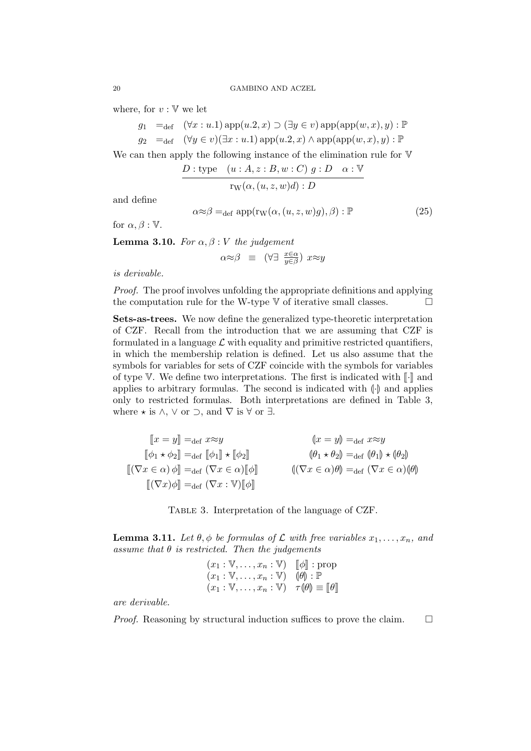where, for  $v : \mathbb{V}$  we let

 $g_1 =_{def} (\forall x : u.1)$  app $(u.2, x) \supset (\exists y \in v)$  app $(\text{app}(w, x), y) : \mathbb{P}$  $g_2 =_{def} (\forall y \in v)(\exists x : u.1)$  app $(u.2, x) \wedge$  app $(\text{app}(w, x), y) : \mathbb{P}$ 

We can then apply the following instance of the elimination rule for  $V$ 

$$
\frac{D:\text{type} \quad (u:A,z:B,w:C) \ g:D \quad \alpha:\mathbb{V}}{\text{rw}(\alpha,(u,z,w)d):D}
$$

and define

$$
\alpha \approx \beta =_{\text{def}} \text{app}(\text{rw}(\alpha, (u, z, w)g), \beta) : \mathbb{P} \tag{25}
$$

for  $\alpha, \beta : \mathbb{V}$ .

**Lemma 3.10.** For  $\alpha, \beta : V$  the judgement

$$
\alpha \approx \beta \equiv (\forall \exists \ \frac{x \in \alpha}{y \in \beta}) \ x \approx y
$$

is derivable.

Proof. The proof involves unfolding the appropriate definitions and applying the computation rule for the W-type  $V$  of iterative small classes.  $\Box$ 

Sets-as-trees. We now define the generalized type-theoretic interpretation of CZF. Recall from the introduction that we are assuming that CZF is formulated in a language  $\mathcal L$  with equality and primitive restricted quantifiers, in which the membership relation is defined. Let us also assume that the symbols for variables for sets of CZF coincide with the symbols for variables of type V. We define two interpretations. The first is indicated with  $\llbracket \cdot \rrbracket$  and applies to arbitrary formulas. The second is indicated with  $\left(\cdot\right)$  and applies only to restricted formulas. Both interpretations are defined in Table 3, where  $\star$  is  $\wedge$ ,  $\vee$  or  $\supset$ , and  $\nabla$  is  $\forall$  or  $\exists$ .

$$
\begin{aligned}\n\llbracket x = y \rrbracket &=_{\text{def}} x \approx y & \qquad \qquad \llbracket x = y \rrbracket &=_{\text{def}} x \approx y \\
\llbracket \phi_1 \star \phi_2 \rrbracket &=_{\text{def}} \llbracket \phi_1 \rrbracket \star \llbracket \phi_2 \rrbracket & \qquad \qquad \llbracket (\nabla x \in \alpha) \phi \rrbracket &=_{\text{def}} (\nabla x \in \alpha) \llbracket \phi \rrbracket & \qquad \qquad \llbracket (\nabla x \in \alpha) \phi \rrbracket &=_{\text{def}} (\nabla x \in \alpha) \llbracket \phi \rrbracket\n\end{aligned}
$$

Table 3. Interpretation of the language of CZF.

**Lemma 3.11.** Let  $\theta$ ,  $\phi$  be formulas of  $\mathcal{L}$  with free variables  $x_1, \ldots, x_n$ , and assume that  $\theta$  is restricted. Then the judgements

$$
(x_1 : \mathbb{V}, \dots, x_n : \mathbb{V}) \quad [\![\phi]\!] : \text{prop}
$$

$$
(x_1 : \mathbb{V}, \dots, x_n : \mathbb{V}) \quad [\![\theta]\!] : \mathbb{P}
$$

$$
(x_1 : \mathbb{V}, \dots, x_n : \mathbb{V}) \quad \tau(\![\theta]\!] \equiv [\![\theta]\!]
$$

are derivable.

*Proof.* Reasoning by structural induction suffices to prove the claim.  $\Box$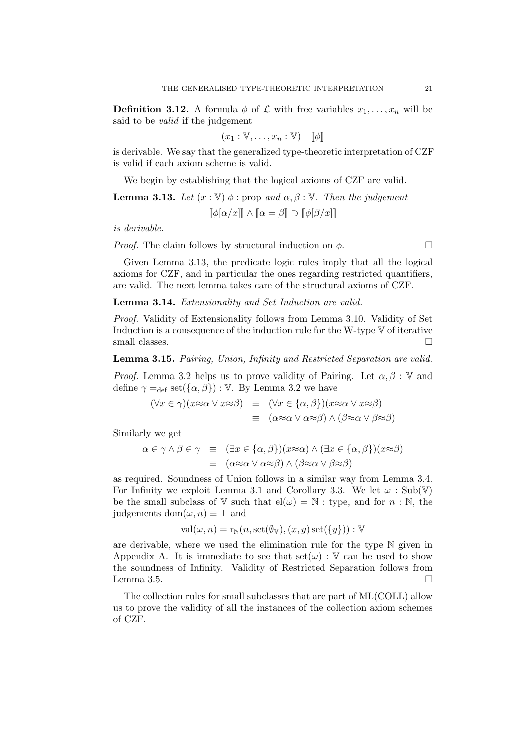**Definition 3.12.** A formula  $\phi$  of  $\mathcal{L}$  with free variables  $x_1, \ldots, x_n$  will be said to be valid if the judgement

$$
(x_1 : \mathbb{V}, \dots, x_n : \mathbb{V}) \quad [\![\phi]\!]
$$

is derivable. We say that the generalized type-theoretic interpretation of CZF is valid if each axiom scheme is valid.

We begin by establishing that the logical axioms of CZF are valid.

**Lemma 3.13.** Let  $(x : \mathbb{V}) \phi$ : prop and  $\alpha, \beta : \mathbb{V}$ . Then the judgement  $\llbracket \phi[\alpha/x] \rrbracket \wedge \llbracket \alpha = \beta \rrbracket \supset \llbracket \phi[\beta/x] \rrbracket$ 

is derivable.

*Proof.* The claim follows by structural induction on  $\phi$ .

Given Lemma 3.13, the predicate logic rules imply that all the logical axioms for CZF, and in particular the ones regarding restricted quantifiers, are valid. The next lemma takes care of the structural axioms of CZF.

Lemma 3.14. Extensionality and Set Induction are valid.

Proof. Validity of Extensionality follows from Lemma 3.10. Validity of Set Induction is a consequence of the induction rule for the W-type V of iterative small classes.  $\Box$ 

Lemma 3.15. Pairing, Union, Infinity and Restricted Separation are valid.

*Proof.* Lemma 3.2 helps us to prove validity of Pairing. Let  $\alpha, \beta : V$  and define  $\gamma =_{\text{def}} \text{set}(\{\alpha, \beta\}) : \mathbb{V}$ . By Lemma 3.2 we have

$$
(\forall x \in \gamma)(x \approx \alpha \lor x \approx \beta) \equiv (\forall x \in \{\alpha, \beta\})(x \approx \alpha \lor x \approx \beta)
$$
  

$$
\equiv (\alpha \approx \alpha \lor \alpha \approx \beta) \land (\beta \approx \alpha \lor \beta \approx \beta)
$$

Similarly we get

$$
\alpha \in \gamma \land \beta \in \gamma \equiv (\exists x \in \{\alpha, \beta\})(x \approx \alpha) \land (\exists x \in \{\alpha, \beta\})(x \approx \beta)
$$
  

$$
\equiv (\alpha \approx \alpha \lor \alpha \approx \beta) \land (\beta \approx \alpha \lor \beta \approx \beta)
$$

as required. Soundness of Union follows in a similar way from Lemma 3.4. For Infinity we exploit Lemma 3.1 and Corollary 3.3. We let  $\omega$ : Sub(V) be the small subclass of V such that  $\mathrm{el}(\omega) = \mathbb{N}$  : type, and for  $n : \mathbb{N}$ , the judgements dom $(\omega, n) \equiv \top$  and

$$
val(\omega, n) = r_N(n, set(\emptyset_V), (x, y) set(\{y\})): V
$$

are derivable, where we used the elimination rule for the type  $\mathbb N$  given in Appendix A. It is immediate to see that  $set(\omega)$ : V can be used to show the soundness of Infinity. Validity of Restricted Separation follows from Lemma 3.5.

The collection rules for small subclasses that are part of ML(COLL) allow us to prove the validity of all the instances of the collection axiom schemes of CZF.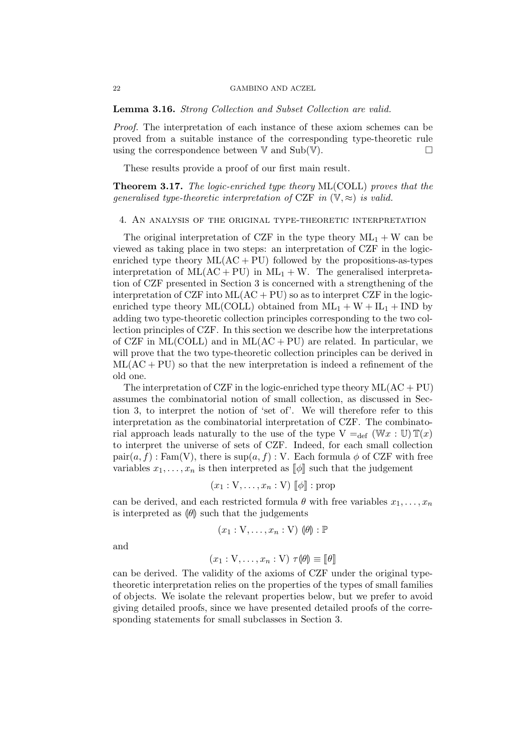Lemma 3.16. Strong Collection and Subset Collection are valid.

Proof. The interpretation of each instance of these axiom schemes can be proved from a suitable instance of the corresponding type-theoretic rule using the correspondence between  $V$  and  $Sub(V)$ .

These results provide a proof of our first main result.

Theorem 3.17. The logic-enriched type theory ML(COLL) proves that the generalised type-theoretic interpretation of CZF in  $(\mathbb{V}, \approx)$  is valid.

### 4. An analysis of the original type-theoretic interpretation

The original interpretation of CZF in the type theory  $ML_1 + W$  can be viewed as taking place in two steps: an interpretation of CZF in the logicenriched type theory  $ML(AC + PU)$  followed by the propositions-as-types interpretation of  $ML(AC + PU)$  in  $ML_1 + W$ . The generalised interpretation of CZF presented in Section 3 is concerned with a strengthening of the interpretation of CZF into  $ML(AC + PU)$  so as to interpret CZF in the logicenriched type theory ML(COLL) obtained from  $ML_1 + W + IL_1 + IND$  by adding two type-theoretic collection principles corresponding to the two collection principles of CZF. In this section we describe how the interpretations of CZF in ML(COLL) and in ML( $AC + PU$ ) are related. In particular, we will prove that the two type-theoretic collection principles can be derived in  $ML(AC + PU)$  so that the new interpretation is indeed a refinement of the old one.

The interpretation of CZF in the logic-enriched type theory  $ML(AC + PU)$ assumes the combinatorial notion of small collection, as discussed in Section 3, to interpret the notion of 'set of'. We will therefore refer to this interpretation as the combinatorial interpretation of CZF. The combinatorial approach leads naturally to the use of the type  $V =_{def} (Wx : U) \mathbb{T}(x)$ to interpret the universe of sets of CZF. Indeed, for each small collection  $\text{pair}(a, f)$ : Fam(V), there is  $\text{sup}(a, f)$ : V. Each formula  $\phi$  of CZF with free variables  $x_1, \ldots, x_n$  is then interpreted as  $\llbracket \phi \rrbracket$  such that the judgement

$$
(x_1:V,\ldots,x_n:V)\llbracket\phi\rrbracket:\text{prop}
$$

can be derived, and each restricted formula  $\theta$  with free variables  $x_1, \ldots, x_n$ is interpreted as  $\left|\theta\right|$  such that the judgements

$$
(x_1:V,\ldots,x_n:V)\ (\theta):{\mathbb P}
$$

and

$$
(x_1: V, \dots, x_n: V) \tau(\theta) \equiv [\![\theta]\!]
$$

can be derived. The validity of the axioms of CZF under the original typetheoretic interpretation relies on the properties of the types of small families of objects. We isolate the relevant properties below, but we prefer to avoid giving detailed proofs, since we have presented detailed proofs of the corresponding statements for small subclasses in Section 3.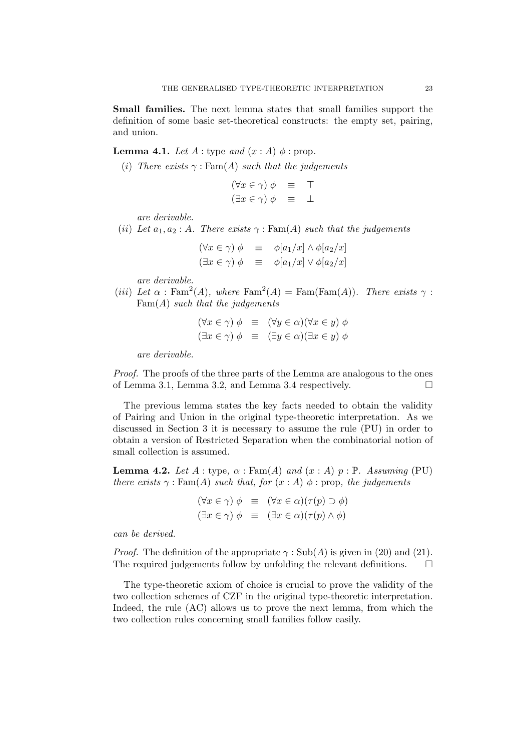Small families. The next lemma states that small families support the definition of some basic set-theoretical constructs: the empty set, pairing, and union.

**Lemma 4.1.** Let  $A$ : type and  $(x : A)$   $\phi$ : prop.

(i) There exists  $\gamma : \text{Fam}(A)$  such that the judgements

| $(\forall x \in \gamma) \phi$ |  |  |
|-------------------------------|--|--|
| $(\exists x \in \gamma) \phi$ |  |  |

are derivable.

(ii) Let  $a_1, a_2 : A$ . There exists  $\gamma : \text{Fam}(A)$  such that the judgements

 $(\forall x \in \gamma) \phi \equiv \phi[a_1/x] \wedge \phi[a_2/x]$  $(\exists x \in \gamma) \phi \equiv \phi[a_1/x] \vee \phi[a_2/x]$ 

are derivable.

(iii) Let  $\alpha$ : Fam<sup>2</sup>(A), where Fam<sup>2</sup>(A) = Fam(Fam(A)). There exists  $\gamma$ :  $Fam(A)$  such that the judgements

$$
(\forall x \in \gamma) \phi \equiv (\forall y \in \alpha)(\forall x \in y) \phi
$$
  

$$
(\exists x \in \gamma) \phi \equiv (\exists y \in \alpha)(\exists x \in y) \phi
$$

are derivable.

Proof. The proofs of the three parts of the Lemma are analogous to the ones of Lemma 3.1, Lemma 3.2, and Lemma 3.4 respectively.  $\Box$ 

The previous lemma states the key facts needed to obtain the validity of Pairing and Union in the original type-theoretic interpretation. As we discussed in Section 3 it is necessary to assume the rule (PU) in order to obtain a version of Restricted Separation when the combinatorial notion of small collection is assumed.

**Lemma 4.2.** Let  $A$ : type,  $\alpha$ : Fam(A) and  $(x : A)$   $p : \mathbb{P}$ . Assuming (PU) there exists  $\gamma$ : Fam(A) such that, for  $(x : A)$   $\phi$ : prop, the judgements

$$
(\forall x \in \gamma) \phi \equiv (\forall x \in \alpha)(\tau(p) \supset \phi)
$$
  

$$
(\exists x \in \gamma) \phi \equiv (\exists x \in \alpha)(\tau(p) \land \phi)
$$

can be derived.

*Proof.* The definition of the appropriate  $\gamma$ : Sub(A) is given in (20) and (21). The required judgements follow by unfolding the relevant definitions.  $\Box$ 

The type-theoretic axiom of choice is crucial to prove the validity of the two collection schemes of CZF in the original type-theoretic interpretation. Indeed, the rule (AC) allows us to prove the next lemma, from which the two collection rules concerning small families follow easily.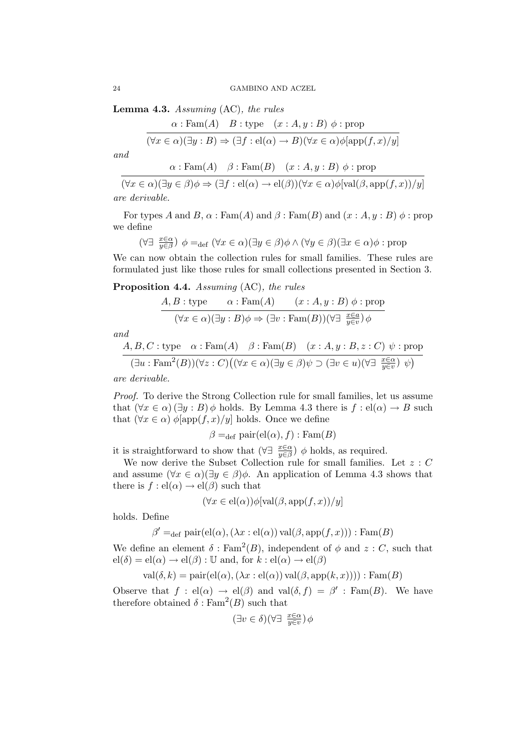**Lemma 4.3.** Assuming  $(AC)$ , the rules

 $\alpha$ : Fam(A)  $B$ : type  $(x : A, y : B)$   $\phi$ : prop  $(\forall x \in \alpha)(\exists y : B) \Rightarrow (\exists f : \text{el}(\alpha) \rightarrow B)(\forall x \in \alpha)\phi[\text{app}(f, x)/y]$ 

and

 $\alpha$  : Fam(A)  $\beta$  : Fam(B)  $(x : A, y : B) \phi$  : prop

 $(\forall x \in \alpha)(\exists y \in \beta) \phi \Rightarrow (\exists f : \text{el}(\alpha) \rightarrow \text{el}(\beta))(\forall x \in \alpha) \phi[\text{val}(\beta, \text{app}(f, x))/y]$ are derivable.

For types A and B,  $\alpha$ : Fam(A) and  $\beta$ : Fam(B) and  $(x : A, y : B)$   $\phi$ : prop we define

$$
(\forall \exists \ \frac{x \in \alpha}{y \in \beta}) \ \phi =_{\text{def}} (\forall x \in \alpha)(\exists y \in \beta) \phi \land (\forall y \in \beta)(\exists x \in \alpha) \phi : \text{prop}
$$

We can now obtain the collection rules for small families. These rules are formulated just like those rules for small collections presented in Section 3.

Proposition 4.4. Assuming (AC), the rules

$$
\frac{A, B: \text{type}}{(\forall x \in \alpha)(\exists y : B)\phi \Rightarrow (\exists v : \text{Fam}(B))(\forall \exists \frac{x \in a}{y \in v})\phi} \text{ (since } \forall x \in \alpha \text{ and } \exists v : \text{Fam}(B))(\forall \exists \frac{x \in a}{y \in v})\phi
$$

and

$$
\frac{A, B, C: \text{type} \quad \alpha: \text{Fam}(A) \quad \beta: \text{Fam}(B) \quad (x:A, y:B, z:C) \ \psi: \text{prop}}{(\exists u: \text{Fam}^2(B))(\forall z: C)((\forall x \in \alpha)(\exists y \in \beta)\psi \supset (\exists v \in u)(\forall \exists \ \frac{x \in \alpha}{y \in v}) \ \psi)}
$$

are derivable.

Proof. To derive the Strong Collection rule for small families, let us assume that  $(\forall x \in \alpha)$   $(\exists y : B)$   $\phi$  holds. By Lemma 4.3 there is  $f : el(\alpha) \rightarrow B$  such that  $(\forall x \in \alpha)$   $\phi$ [app $(f, x)/y$ ] holds. Once we define

$$
\beta =_{\text{def}} \text{pair}(\text{el}(\alpha), f) : \text{Fam}(B)
$$

it is straightforward to show that  $(\forall \exists \frac{x \in \alpha}{y \in \beta}) \phi$  holds, as required.

We now derive the Subset Collection rule for small families. Let  $z : C$ and assume  $(\forall x \in \alpha)(\exists y \in \beta)\phi$ . An application of Lemma 4.3 shows that there is  $f: \text{el}(\alpha) \to \text{el}(\beta)$  such that

$$
(\forall x \in el(\alpha))\phi[\text{val}(\beta, \text{app}(f, x))/y]
$$

holds. Define

$$
\beta' =_{\text{def}} \text{pair}(\text{el}(\alpha), (\lambda x : \text{el}(\alpha)) \text{val}(\beta, \text{app}(f, x))) : \text{Fam}(B)
$$

We define an element  $\delta : \text{Fam}^2(B)$ , independent of  $\phi$  and  $z : C$ , such that  $el(\delta) = el(\alpha) \rightarrow el(\beta) : \mathbb{U}$  and, for  $k : el(\alpha) \rightarrow el(\beta)$ 

 $val(\delta, k) = pair(el(\alpha), (\lambda x : el(\alpha)) val(\beta, app(k, x)))) : Fam(B)$ 

Observe that  $f : el(\alpha) \to el(\beta)$  and val $(\delta, f) = \beta' : \text{Fam}(B)$ . We have therefore obtained  $\delta$ : Fam<sup>2</sup>(B) such that

$$
(\exists v \in \delta)(\forall \exists \ \frac{x \in \alpha}{y \in v}) \phi
$$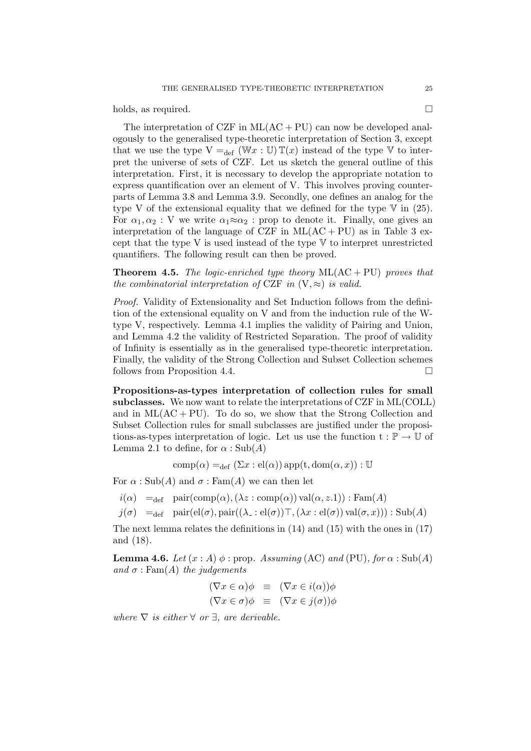holds, as required.

The interpretation of CZF in  $ML(AC + PU)$  can now be developed analogously to the generalised type-theoretic interpretation of Section 3, except that we use the type  $V =_{def} (\mathbb{W} x : \mathbb{U}) \mathbb{T}(x)$  instead of the type V to interpret the universe of sets of CZF. Let us sketch the general outline of this interpretation. First, it is necessary to develop the appropriate notation to express quantification over an element of V. This involves proving counterparts of Lemma 3.8 and Lemma 3.9. Secondly, one defines an analog for the type V of the extensional equality that we defined for the type  $\nabla$  in (25). For  $\alpha_1, \alpha_2 : V$  we write  $\alpha_1 \approx \alpha_2 : \text{prop}$  to denote it. Finally, one gives an interpretation of the language of CZF in  $ML(AC + PU)$  as in Table 3 except that the type V is used instead of the type  $V$  to interpret unrestricted quantifiers. The following result can then be proved.

**Theorem 4.5.** The logic-enriched type theory  $ML(AC + PU)$  proves that the combinatorial interpretation of CZF in  $(V, \approx)$  is valid.

Proof. Validity of Extensionality and Set Induction follows from the definition of the extensional equality on V and from the induction rule of the Wtype V, respectively. Lemma 4.1 implies the validity of Pairing and Union, and Lemma 4.2 the validity of Restricted Separation. The proof of validity of Infinity is essentially as in the generalised type-theoretic interpretation. Finally, the validity of the Strong Collection and Subset Collection schemes follows from Proposition 4.4.

Propositions-as-types interpretation of collection rules for small subclasses. We now want to relate the interpretations of CZF in ML(COLL) and in  $ML(AC + PU)$ . To do so, we show that the Strong Collection and Subset Collection rules for small subclasses are justified under the propositions-as-types interpretation of logic. Let us use the function  $t : \mathbb{P} \to \mathbb{U}$  of Lemma 2.1 to define, for  $\alpha$ : Sub(A)

comp $(\alpha) =_{\text{def}} (\Sigma x : \text{el}(\alpha))$  app $(\text{t}, \text{dom}(\alpha, x)) : \mathbb{U}$ 

For  $\alpha$ : Sub(A) and  $\sigma$ : Fam(A) we can then let

 $i(\alpha) =_{def}$  pair $(\text{comp}(\alpha),(\lambda z : \text{comp}(\alpha))$  val $(\alpha, z.1))$ : Fam $(A)$ 

 $j(\sigma) =_{\text{def}} \text{pair}(\text{el}(\sigma), \text{pair}((\lambda \text{=} : \text{el}(\sigma))\top, (\lambda x : \text{el}(\sigma)) \text{val}(\sigma, x))) : \text{Sub}(A)$ 

The next lemma relates the definitions in (14) and (15) with the ones in (17) and (18).

**Lemma 4.6.** Let  $(x : A)$   $\phi$  : prop. Assuming (AC) and (PU), for  $\alpha$  : Sub(A) and  $\sigma$ : Fam(A) the judgements

$$
(\nabla x \in \alpha)\phi \equiv (\nabla x \in i(\alpha))\phi
$$
  

$$
(\nabla x \in \sigma)\phi \equiv (\nabla x \in j(\sigma))\phi
$$

where  $\nabla$  is either  $\forall$  or  $\exists$ , are derivable.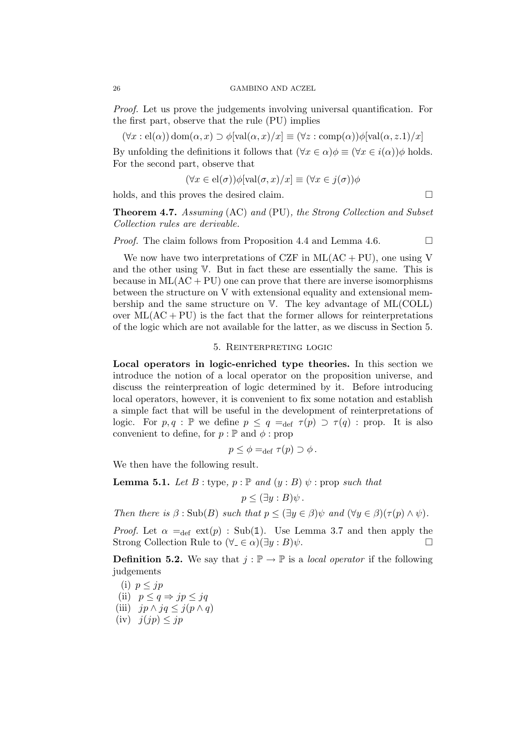Proof. Let us prove the judgements involving universal quantification. For the first part, observe that the rule (PU) implies

 $(\forall x : \text{el}(\alpha)) \text{dom}(\alpha, x) \supset \phi[\text{val}(\alpha, x)/x] \equiv (\forall z : \text{comp}(\alpha))\phi[\text{val}(\alpha, z.1)/x]$ 

By unfolding the definitions it follows that  $(\forall x \in \alpha) \phi \equiv (\forall x \in i(\alpha)) \phi$  holds. For the second part, observe that

$$
(\forall x \in el(\sigma))\phi[\text{val}(\sigma, x)/x] \equiv (\forall x \in j(\sigma))\phi
$$

holds, and this proves the desired claim.

Theorem 4.7. Assuming (AC) and (PU), the Strong Collection and Subset Collection rules are derivable.

*Proof.* The claim follows from Proposition 4.4 and Lemma 4.6.  $\Box$ 

We now have two interpretations of CZF in  $ML(AC + PU)$ , one using V and the other using V. But in fact these are essentially the same. This is because in  $ML(AC + PU)$  one can prove that there are inverse isomorphisms between the structure on V with extensional equality and extensional membership and the same structure on V. The key advantage of ML(COLL) over  $ML(AC + PU)$  is the fact that the former allows for reinterpretations of the logic which are not available for the latter, as we discuss in Section 5.

## 5. Reinterpreting logic

Local operators in logic-enriched type theories. In this section we introduce the notion of a local operator on the proposition universe, and discuss the reinterpreation of logic determined by it. Before introducing local operators, however, it is convenient to fix some notation and establish a simple fact that will be useful in the development of reinterpretations of logic. For  $p, q : \mathbb{P}$  we define  $p \leq q = \text{def } \tau(p) \supset \tau(q)$  : prop. It is also convenient to define, for  $p : \mathbb{P}$  and  $\phi$  : prop

$$
p \leq \phi =_{\text{def}} \tau(p) \supset \phi.
$$

We then have the following result.

**Lemma 5.1.** Let  $B$  : type,  $p : \mathbb{P}$  and  $(y : B) \psi$  : prop such that

$$
p \leq (\exists y : B)\psi.
$$

Then there is  $\beta$ : Sub(B) such that  $p \leq (\exists y \in \beta) \psi$  and  $(\forall y \in \beta)(\tau(p) \wedge \psi)$ .

*Proof.* Let  $\alpha =_{def} ext(p)$ : Sub(1). Use Lemma 3.7 and then apply the Strong Collection Rule to  $(\forall \psi \in \alpha)(\exists y : B)\psi$ .

**Definition 5.2.** We say that  $j : \mathbb{P} \to \mathbb{P}$  is a *local operator* if the following judgements

(i) 
$$
p \leq jp
$$

- (ii)  $p \leq q \Rightarrow jp \leq jq$
- (iii)  $jp \wedge jq \leq j(p \wedge q)$
- (iv)  $j(jp) \leq jp$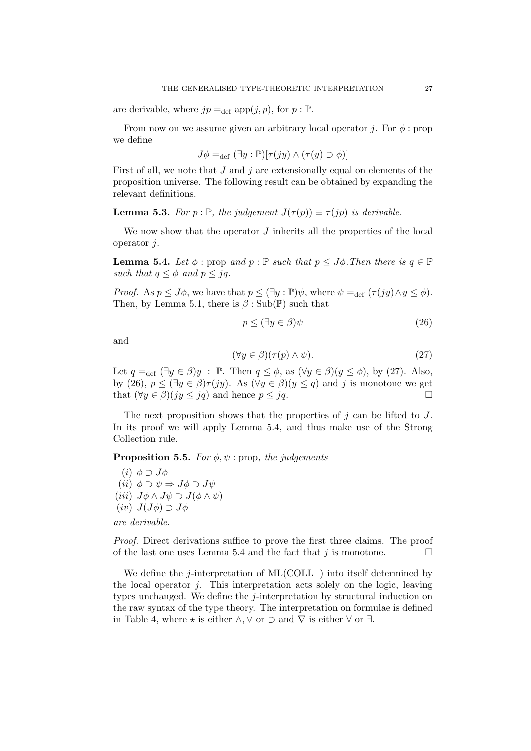are derivable, where  $jp =_{def} app(j, p)$ , for  $p : \mathbb{P}$ .

From now on we assume given an arbitrary local operator j. For  $\phi$ : prop we define

$$
J\phi =_{\text{def}} (\exists y : \mathbb{P})[\tau(jy) \land (\tau(y) \supset \phi)]
$$

First of all, we note that  $J$  and  $j$  are extensionally equal on elements of the proposition universe. The following result can be obtained by expanding the relevant definitions.

**Lemma 5.3.** For  $p : \mathbb{P}$ , the judgement  $J(\tau(p)) \equiv \tau(ip)$  is derivable.

We now show that the operator  $J$  inherits all the properties of the local operator j.

**Lemma 5.4.** Let  $\phi$ : prop and  $p : \mathbb{P}$  such that  $p \leq J\phi$ . Then there is  $q \in \mathbb{P}$ such that  $q \leq \phi$  and  $p \leq iq$ .

*Proof.* As  $p \leq J\phi$ , we have that  $p \leq (\exists y : \mathbb{P})\psi$ , where  $\psi =_{\text{def}} (\tau(iy) \wedge y \leq \phi)$ . Then, by Lemma 5.1, there is  $\beta$ : Sub(P) such that

$$
p \le (\exists y \in \beta)\psi \tag{26}
$$

and

$$
(\forall y \in \beta)(\tau(p) \land \psi). \tag{27}
$$

Let  $q =_{def} (\exists y \in \beta)y$ : P. Then  $q \leq \phi$ , as  $(\forall y \in \beta)(y \leq \phi)$ , by (27). Also, by (26),  $p \leq (\exists y \in \beta) \tau(iy)$ . As  $(\forall y \in \beta)(y \leq q)$  and j is monotone we get that  $(\forall y \in \beta)(jy \leq jq)$  and hence  $p \leq jq$ .

The next proposition shows that the properties of  $j$  can be lifted to  $J$ . In its proof we will apply Lemma 5.4, and thus make use of the Strong Collection rule.

**Proposition 5.5.** For  $\phi, \psi$ : prop, the judgements

(*i*)  $\phi \supset J\phi$ (*ii*)  $\phi \supset \psi \Rightarrow J\phi \supset J\psi$ (iii)  $J\phi \wedge J\psi \supset J(\phi \wedge \psi)$  $(iv)$   $J(J\phi) \supset J\phi$ 

are derivable.

Proof. Direct derivations suffice to prove the first three claims. The proof of the last one uses Lemma 5.4 and the fact that j is monotone.

We define the j-interpretation of  $ML(COLL<sup>-</sup>)$  into itself determined by the local operator  $j$ . This interpretation acts solely on the logic, leaving types unchanged. We define the j-interpretation by structural induction on the raw syntax of the type theory. The interpretation on formulae is defined in Table 4, where  $\star$  is either ∧,  $\vee$  or  $\supset$  and  $\nabla$  is either  $\forall$  or  $\exists$ .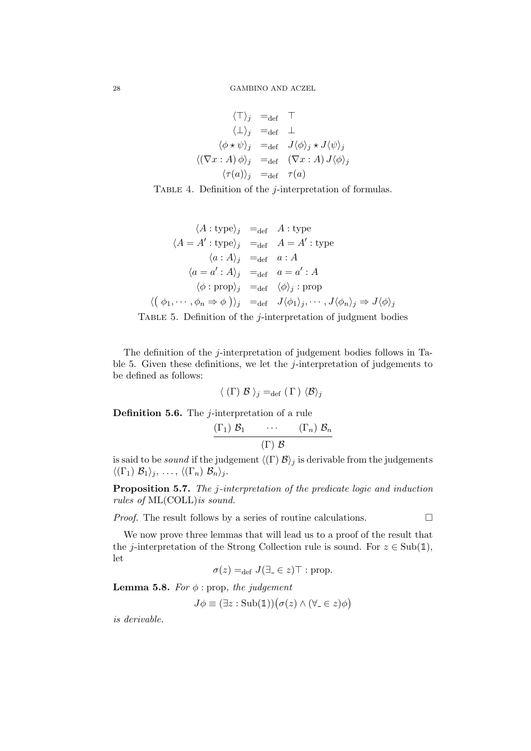$$
\begin{array}{rcl}\n\langle \top \rangle_j & =_{\text{def}} & \top \\
\langle \bot \rangle_j & =_{\text{def}} & \bot \\
\langle \phi \star \psi \rangle_j & =_{\text{def}} & J \langle \phi \rangle_j \star J \langle \psi \rangle_j \\
\langle (\nabla x : A) \phi \rangle_j & =_{\text{def}} & (\nabla x : A) J \langle \phi \rangle_j \\
\langle \tau(a) \rangle_j & =_{\text{def}} & \tau(a)\n\end{array}
$$

TABLE 4. Definition of the *j*-interpretation of formulas.

$$
\langle A : \text{type} \rangle_j =_{\text{def}} A : \text{type}
$$
  
\n
$$
\langle A = A' : \text{type} \rangle_j =_{\text{def}} A = A' : \text{type}
$$
  
\n
$$
\langle a : A \rangle_j =_{\text{def}} a : A
$$
  
\n
$$
\langle a = a' : A \rangle_j =_{\text{def}} a = a' : A
$$
  
\n
$$
\langle \phi : \text{prop} \rangle_j =_{\text{def}} \langle \phi \rangle_j : \text{prop}
$$
  
\n
$$
\langle (\phi_1, \dots, \phi_n \Rightarrow \phi) \rangle_j =_{\text{def}} J \langle \phi_1 \rangle_j, \dots, J \langle \phi_n \rangle_j \Rightarrow J \langle \phi \rangle_j
$$

TABLE 5. Definition of the  $j$ -interpretation of judgment bodies

The definition of the j-interpretation of judgement bodies follows in Table 5. Given these definitions, we let the  $j$ -interpretation of judgements to be defined as follows:

$$
\langle (\Gamma) \mathcal{B} \rangle_j =_{\text{def}} (\Gamma) \langle \mathcal{B} \rangle_j
$$

**Definition 5.6.** The  $j$ -interpretation of a rule

$$
\frac{(\Gamma_1) \mathcal{B}_1 \cdots (\Gamma_n) \mathcal{B}_n}{(\Gamma) \mathcal{B}}
$$

is said to be *sound* if the judgement  $\langle \Gamma | \mathcal{B} \rangle_j$  is derivable from the judgements  $\langle (\Gamma_1) \mathcal{B}_1 \rangle_j, \ldots, \langle (\Gamma_n) \mathcal{B}_n \rangle_j.$ 

Proposition 5.7. The j-interpretation of the predicate logic and induction rules of ML(COLL)is sound.

*Proof.* The result follows by a series of routine calculations.  $\Box$ 

We now prove three lemmas that will lead us to a proof of the result that the j-interpretation of the Strong Collection rule is sound. For  $z \in Sub(1)$ , let

$$
\sigma(z) =_{\text{def}} J(\exists_{-} \in z) \top : \text{prop.}
$$

**Lemma 5.8.** For  $\phi$  : prop, the judgement

$$
J\phi \equiv (\exists z : \text{Sub}(\mathbb{1})) (\sigma(z) \land (\forall_{-} \in z)\phi)
$$

is derivable.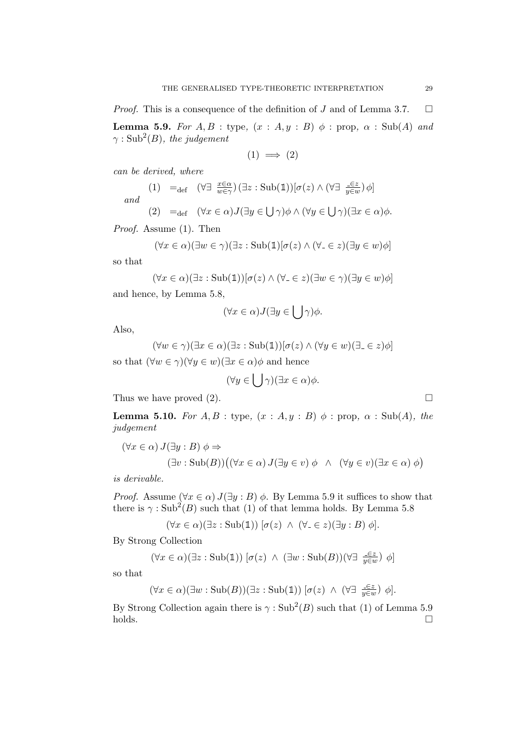*Proof.* This is a consequence of the definition of J and of Lemma 3.7.  $\Box$ **Lemma 5.9.** For  $A, B$  : type,  $(x : A, y : B)$   $\phi$  : prop,  $\alpha$  : Sub(A) and  $\gamma : \operatorname{Sub}^2(B)$ , the judgement

$$
(1) \implies (2)
$$

can be derived, where

(1) =<sub>def</sub> 
$$
(\forall \exists \frac{x \in \alpha}{w \in \gamma})(\exists z : Sub(\mathbb{1}))[\sigma(z) \land (\forall \exists \frac{-\epsilon z}{y \in w}) \phi]
$$
  
\n*and*  
\n(2) =<sub>def</sub>  $(\forall x \in \alpha)J(\exists y \in \bigcup \gamma)\phi \land (\forall y \in \bigcup \gamma)(\exists x \in \alpha)\phi.$ 

Proof. Assume (1). Then

$$
(\forall x \in \alpha)(\exists w \in \gamma)(\exists z : \text{Sub}(\mathbb{1})[\sigma(z) \land (\forall_{-} \in z)(\exists y \in w)\phi]
$$

so that

$$
(\forall x \in \alpha)(\exists z : Sub(\mathbb{1}))[\sigma(z) \land (\forall_{-} \in z)(\exists w \in \gamma)(\exists y \in w)\phi]
$$

and hence, by Lemma 5.8,

$$
(\forall x \in \alpha) J(\exists y \in \bigcup \gamma)\phi.
$$

Also,

$$
(\forall w \in \gamma)(\exists x \in \alpha)(\exists z : \text{Sub}(\mathbb{1}))[\sigma(z) \land (\forall y \in w)(\exists_{-} \in z)\phi]
$$

so that  $(\forall w \in \gamma)(\forall y \in w)(\exists x \in \alpha)\phi$  and hence

$$
(\forall y \in \bigcup \gamma)(\exists x \in \alpha)\phi.
$$

Thus we have proved (2).  $\square$ 

**Lemma 5.10.** For  $A, B$  : type,  $(x : A, y : B)$   $\phi$  : prop,  $\alpha$  : Sub(A), the judgement

$$
(\forall x \in \alpha) J(\exists y : B) \phi \Rightarrow
$$
  

$$
(\exists v : Sub(B)) ((\forall x \in \alpha) J(\exists y \in v) \phi \land (\forall y \in v)(\exists x \in \alpha) \phi)
$$

is derivable.

*Proof.* Assume  $(\forall x \in \alpha) J(\exists y : B) \phi$ . By Lemma 5.9 it suffices to show that there is  $\gamma : \text{Sub}^2(B)$  such that (1) of that lemma holds. By Lemma 5.8

$$
(\forall x \in \alpha)(\exists z : \text{Sub}(\mathbb{1})) [\sigma(z) \land (\forall_{-} \in z)(\exists y : B) \phi].
$$

By Strong Collection

$$
(\forall x \in \alpha)(\exists z : \text{Sub}(\mathbb{1})) [\sigma(z) \land (\exists w : \text{Sub}(B))(\forall \exists \ \tfrac{\exists z}{y \in w}) \phi]
$$

so that

$$
(\forall x \in \alpha)(\exists w : \mathrm{Sub}(B))(\exists z : \mathrm{Sub}(\mathbb{1})) [\sigma(z) \ \wedge \ (\forall \exists \ \frac{\in \varepsilon}{y \in w}) \ \phi].
$$

By Strong Collection again there is  $\gamma : \text{Sub}^2(B)$  such that (1) of Lemma 5.9  $holds.$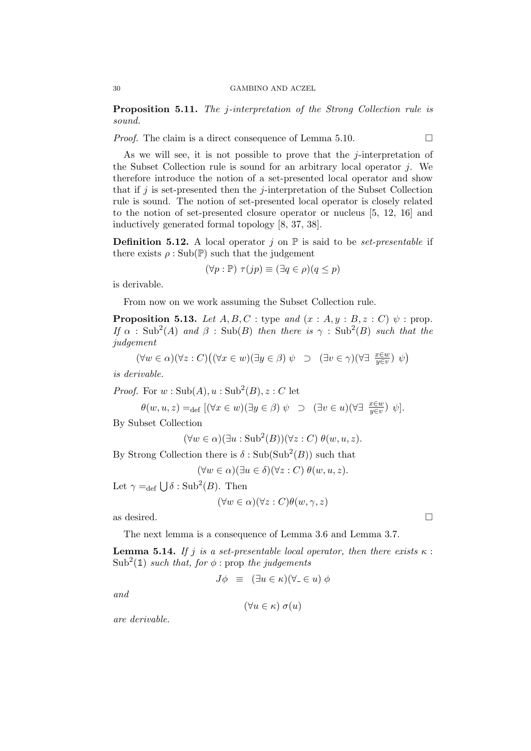Proposition 5.11. The j-interpretation of the Strong Collection rule is sound.

*Proof.* The claim is a direct consequence of Lemma 5.10.  $\Box$ 

As we will see, it is not possible to prove that the j-interpretation of the Subset Collection rule is sound for an arbitrary local operator j. We therefore introduce the notion of a set-presented local operator and show that if j is set-presented then the j-interpretation of the Subset Collection rule is sound. The notion of set-presented local operator is closely related to the notion of set-presented closure operator or nucleus [5, 12, 16] and inductively generated formal topology [8, 37, 38].

**Definition 5.12.** A local operator j on  $\mathbb{P}$  is said to be set-presentable if there exists  $\rho : Sub(\mathbb{P})$  such that the judgement

$$
(\forall p : \mathbb{P}) \ \tau(jp) \equiv (\exists q \in \rho)(q \leq p)
$$

is derivable.

From now on we work assuming the Subset Collection rule.

**Proposition 5.13.** Let  $A, B, C$ : type and  $(x : A, y : B, z : C)$   $\psi$ : prop. If  $\alpha$  : Sub<sup>2</sup>(A) and  $\beta$  : Sub(B) then there is  $\gamma$  : Sub<sup>2</sup>(B) such that the judgement

$$
(\forall w \in \alpha)(\forall z : C) ((\forall x \in w)(\exists y \in \beta) \psi \supset (\exists v \in \gamma)(\forall \exists \ \frac{x \in w}{y \in v}) \psi)
$$

is derivable.

*Proof.* For  $w : \text{Sub}(A), u : \text{Sub}^2(B), z : C$  let

$$
\theta(w, u, z) =_{\text{def}} [(\forall x \in w)(\exists y \in \beta) \ \psi \ \supset \ (\exists v \in u)(\forall \exists \ \frac{x \in w}{y \in v}) \ \psi].
$$

By Subset Collection

$$
(\forall w \in \alpha)(\exists u : \mathrm{Sub}^2(B))(\forall z : C) \ \theta(w, u, z).
$$

By Strong Collection there is  $\delta : \text{Sub}(\text{Sub}^2(B))$  such that

 $(\forall w \in \alpha)(\exists u \in \delta)(\forall z : C) \theta(w, u, z).$ 

Let  $\gamma =_{def} \bigcup \delta : \text{Sub}^2(B)$ . Then

$$
(\forall w \in \alpha)(\forall z : C)\theta(w, \gamma, z)
$$

as desired.  $\Box$ 

The next lemma is a consequence of Lemma 3.6 and Lemma 3.7.

**Lemma 5.14.** If j is a set-presentable local operator, then there exists  $\kappa$ :  $\text{Sub}^2(\mathbb{1})$  such that, for  $\phi$ : prop the judgements

$$
J\phi \equiv (\exists u \in \kappa)(\forall_{-} \in u) \phi
$$

and

$$
(\forall u \in \kappa) \; \sigma(u)
$$

are derivable.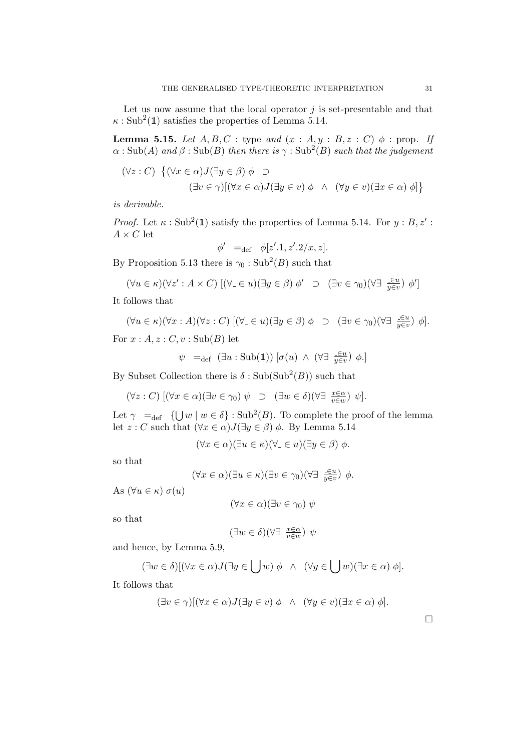Let us now assume that the local operator  $j$  is set-presentable and that  $\kappa : \text{Sub}^2(\mathbb{1})$  satisfies the properties of Lemma 5.14.

**Lemma 5.15.** Let  $A, B, C$ : type and  $(x : A, y : B, z : C)$   $\phi$ : prop. If  $\alpha : \mathrm{Sub}(A)$  and  $\beta : \mathrm{Sub}(B)$  then there is  $\gamma : \mathrm{Sub}^2(B)$  such that the judgement

$$
(\forall z : C) \{ (\forall x \in \alpha) J(\exists y \in \beta) \phi \supset
$$

$$
(\exists v \in \gamma) [(\forall x \in \alpha) J(\exists y \in v) \phi \land (\forall y \in v)(\exists x \in \alpha) \phi] \}
$$

is derivable.

*Proof.* Let  $\kappa : \text{Sub}^2(\mathbb{1})$  satisfy the properties of Lemma 5.14. For  $y : B, z'$ :  $A \times C$  let

$$
\phi' =_{\text{def}} \phi[z'.1, z'.2/x, z].
$$

By Proposition 5.13 there is  $\gamma_0 : \text{Sub}^2(B)$  such that

$$
(\forall u \in \kappa)(\forall z' : A \times C) \; [(\forall_{-} \in u)(\exists y \in \beta) \; \phi' \quad \supset \quad (\exists v \in \gamma_0)(\forall \exists \; \frac{\exists v}{y \in v}) \; \phi']
$$

It follows that

$$
(\forall u \in \kappa)(\forall x:A)(\forall z:C) \; [(\forall_{-} \in u)(\exists y \in \beta) \phi \supset (\exists v \in \gamma_{0})(\forall \exists \; \frac{\in u}{y \in v}) \phi].
$$

For  $x : A, z : C, v : Sub(B)$  let

$$
\psi =_{def} (\exists u : Sub(\mathbb{1})) [\sigma(u) \wedge (\forall \exists \frac{\in u}{y \in v}) \phi.]
$$

By Subset Collection there is  $\delta : \text{Sub}(\text{Sub}^2(B))$  such that

$$
(\forall z : C) \; [(\forall x \in \alpha)(\exists v \in \gamma_0) \; \psi \quad \supset \quad (\exists w \in \delta)(\forall \exists \; \frac{x \in \alpha}{v \in w}) \; \psi].
$$

Let  $\gamma =_{def} \{ \bigcup w \mid w \in \delta \} : \text{Sub}^2(B)$ . To complete the proof of the lemma let  $z : C$  such that  $(\forall x \in \alpha) J(\exists y \in \beta) \phi$ . By Lemma 5.14

$$
(\forall x \in \alpha)(\exists u \in \kappa)(\forall_{-} \in u)(\exists y \in \beta) \phi.
$$

so that

$$
(\forall x \in \alpha)(\exists u \in \kappa)(\exists v \in \gamma_0)(\forall \exists \ \frac{\in u}{y \in v}) \ \phi.
$$

As  $(\forall u \in \kappa) \sigma(u)$ 

$$
(\forall x \in \alpha)(\exists v \in \gamma_0) \psi
$$

so that

$$
(\exists w\in\delta)(\forall\exists\ \tfrac{x\in\alpha}{v\in w})\ \psi
$$

and hence, by Lemma 5.9,

$$
(\exists w \in \delta)[(\forall x \in \alpha)J(\exists y \in \bigcup w) \phi \ \land \ (\forall y \in \bigcup w)(\exists x \in \alpha) \phi].
$$

It follows that

$$
(\exists v \in \gamma)[(\forall x \in \alpha)J(\exists y \in v) \phi \land (\forall y \in v)(\exists x \in \alpha) \phi].
$$

 $\Box$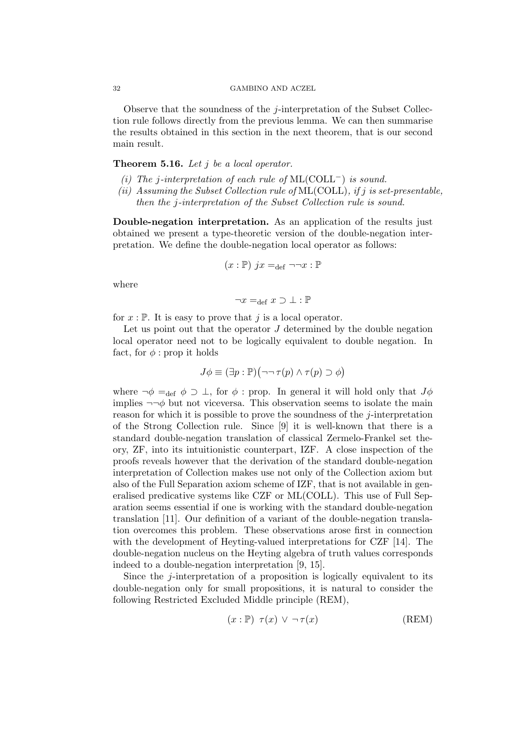#### 32 GAMBINO AND ACZEL

Observe that the soundness of the *j*-interpretation of the Subset Collection rule follows directly from the previous lemma. We can then summarise the results obtained in this section in the next theorem, that is our second main result.

## **Theorem 5.16.** Let  $i$  be a local operator.

- (i) The j-interpretation of each rule of  $ML(COLL<sup>-</sup>)$  is sound.
- (ii) Assuming the Subset Collection rule of ML(COLL), if j is set-presentable.
	- then the j-interpretation of the Subset Collection rule is sound.

Double-negation interpretation. As an application of the results just obtained we present a type-theoretic version of the double-negation interpretation. We define the double-negation local operator as follows:

$$
(x : \mathbb{P}) \ jx =_{\text{def}} \neg \neg x : \mathbb{P}
$$

where

$$
\neg x =_{\text{def}} x \supset \bot : \mathbb{P}
$$

for  $x : \mathbb{P}$ . It is easy to prove that j is a local operator.

Let us point out that the operator  $J$  determined by the double negation local operator need not to be logically equivalent to double negation. In fact, for  $\phi$ : prop it holds

$$
J\phi \equiv (\exists p : \mathbb{P})(\neg\neg \tau(p) \land \tau(p) \supset \phi)
$$

where  $\neg \phi =_{def} \phi \supset \bot$ , for  $\phi :$  prop. In general it will hold only that  $J\phi$ implies  $\neg\neg\phi$  but not viceversa. This observation seems to isolate the main reason for which it is possible to prove the soundness of the  $j$ -interpretation of the Strong Collection rule. Since [9] it is well-known that there is a standard double-negation translation of classical Zermelo-Frankel set theory, ZF, into its intuitionistic counterpart, IZF. A close inspection of the proofs reveals however that the derivation of the standard double-negation interpretation of Collection makes use not only of the Collection axiom but also of the Full Separation axiom scheme of IZF, that is not available in generalised predicative systems like CZF or ML(COLL). This use of Full Separation seems essential if one is working with the standard double-negation translation [11]. Our definition of a variant of the double-negation translation overcomes this problem. These observations arose first in connection with the development of Heyting-valued interpretations for CZF [14]. The double-negation nucleus on the Heyting algebra of truth values corresponds indeed to a double-negation interpretation [9, 15].

Since the j-interpretation of a proposition is logically equivalent to its double-negation only for small propositions, it is natural to consider the following Restricted Excluded Middle principle (REM),

$$
(x : \mathbb{P}) \ \tau(x) \ \vee \ \neg \tau(x) \tag{REM}
$$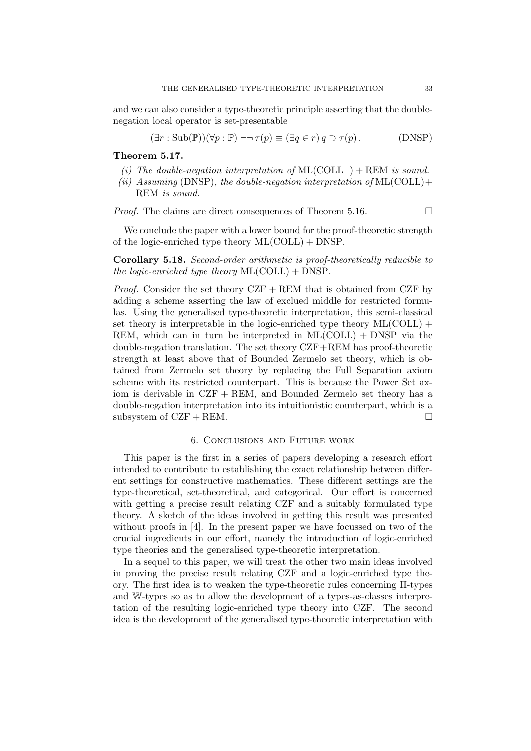and we can also consider a type-theoretic principle asserting that the doublenegation local operator is set-presentable

$$
(\exists r : Sub(\mathbb{P})) (\forall p : \mathbb{P}) \neg\neg \tau(p) \equiv (\exists q \in r) \, q \supset \tau(p). \tag{DNSP}
$$

Theorem 5.17.

- (i) The double-negation interpretation of  $ML(COLL^-) + REM$  is sound.
- (ii) Assuming (DNSP), the double-negation interpretation of  $ML(COLL)$ + REM is sound.

*Proof.* The claims are direct consequences of Theorem 5.16.  $\Box$ 

We conclude the paper with a lower bound for the proof-theoretic strength of the logic-enriched type theory ML(COLL) + DNSP.

Corollary 5.18. Second-order arithmetic is proof-theoretically reducible to the logic-enriched type theory  $ML(COLL) + DNSP$ .

*Proof.* Consider the set theory  $CZF + REM$  that is obtained from  $CZF$  by adding a scheme asserting the law of exclued middle for restricted formulas. Using the generalised type-theoretic interpretation, this semi-classical set theory is interpretable in the logic-enriched type theory  $ML(COLL)$  + REM, which can in turn be interpreted in  $ML(COLL) + DNSP$  via the double-negation translation. The set theory  $CZF+REM$  has proof-theoretic strength at least above that of Bounded Zermelo set theory, which is obtained from Zermelo set theory by replacing the Full Separation axiom scheme with its restricted counterpart. This is because the Power Set axiom is derivable in CZF + REM, and Bounded Zermelo set theory has a double-negation interpretation into its intuitionistic counterpart, which is a subsystem of  $CZF + REM$ .

### 6. Conclusions and Future work

This paper is the first in a series of papers developing a research effort intended to contribute to establishing the exact relationship between different settings for constructive mathematics. These different settings are the type-theoretical, set-theoretical, and categorical. Our effort is concerned with getting a precise result relating CZF and a suitably formulated type theory. A sketch of the ideas involved in getting this result was presented without proofs in [4]. In the present paper we have focussed on two of the crucial ingredients in our effort, namely the introduction of logic-enriched type theories and the generalised type-theoretic interpretation.

In a sequel to this paper, we will treat the other two main ideas involved in proving the precise result relating CZF and a logic-enriched type theory. The first idea is to weaken the type-theoretic rules concerning Π-types and W-types so as to allow the development of a types-as-classes interpretation of the resulting logic-enriched type theory into CZF. The second idea is the development of the generalised type-theoretic interpretation with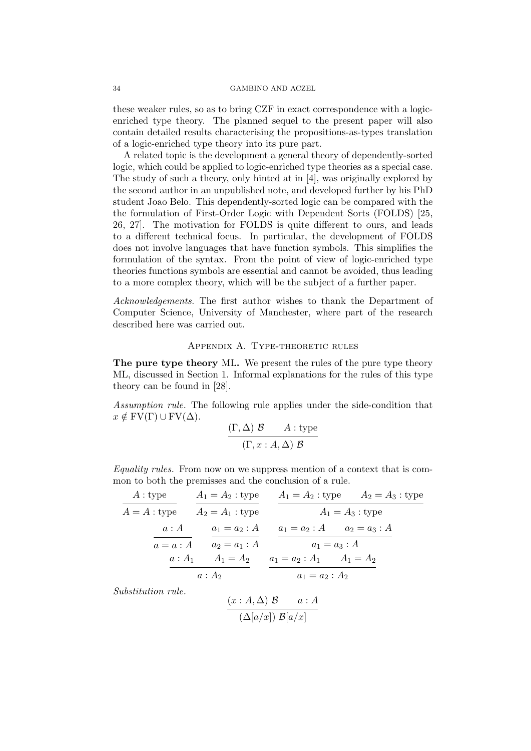## 34 GAMBINO AND ACZEL

these weaker rules, so as to bring CZF in exact correspondence with a logicenriched type theory. The planned sequel to the present paper will also contain detailed results characterising the propositions-as-types translation of a logic-enriched type theory into its pure part.

A related topic is the development a general theory of dependently-sorted logic, which could be applied to logic-enriched type theories as a special case. The study of such a theory, only hinted at in [4], was originally explored by the second author in an unpublished note, and developed further by his PhD student Joao Belo. This dependently-sorted logic can be compared with the the formulation of First-Order Logic with Dependent Sorts (FOLDS) [25, 26, 27]. The motivation for FOLDS is quite different to ours, and leads to a different technical focus. In particular, the development of FOLDS does not involve languages that have function symbols. This simplifies the formulation of the syntax. From the point of view of logic-enriched type theories functions symbols are essential and cannot be avoided, thus leading to a more complex theory, which will be the subject of a further paper.

Acknowledgements. The first author wishes to thank the Department of Computer Science, University of Manchester, where part of the research described here was carried out.

# Appendix A. Type-theoretic rules

The pure type theory ML. We present the rules of the pure type theory ML, discussed in Section 1. Informal explanations for the rules of this type theory can be found in [28].

Assumption rule. The following rule applies under the side-condition that  $x \notin FV(\Gamma) \cup FV(\Delta)$ .

$$
\frac{(\Gamma, \Delta) \mathcal{B}}{(\Gamma, x : A, \Delta) \mathcal{B}}
$$

Equality rules. From now on we suppress mention of a context that is common to both the premisses and the conclusion of a rule.

| A:type      | $A_1 = A_2$ : type |                                           | $A_1 = A_2$ : type $A_2 = A_3$ : type |  |  |
|-------------|--------------------|-------------------------------------------|---------------------------------------|--|--|
| $A=A:$ type | $A_2 = A_1$ : type |                                           | $A_1 = A_3$ : type                    |  |  |
| a:A         | $a_1 = a_2 : A$    | $a_1 = a_2 : A$ $a_2 = a_3 : A$           |                                       |  |  |
| $a=a:A$     | $a_2 = a_1 : A$    | $a_1 = a_3 : A$                           |                                       |  |  |
| $a:A_1$     |                    | $A_1 = A_2$ $a_1 = a_2 : A_1$ $A_1 = A_2$ |                                       |  |  |
|             | $a:A_2$            | $a_1 = a_2 : A_2$                         |                                       |  |  |

Substitution rule.

$$
\frac{(x:A,\Delta) \mathcal{B}}{(\Delta[a/x]) \mathcal{B}[a/x]}
$$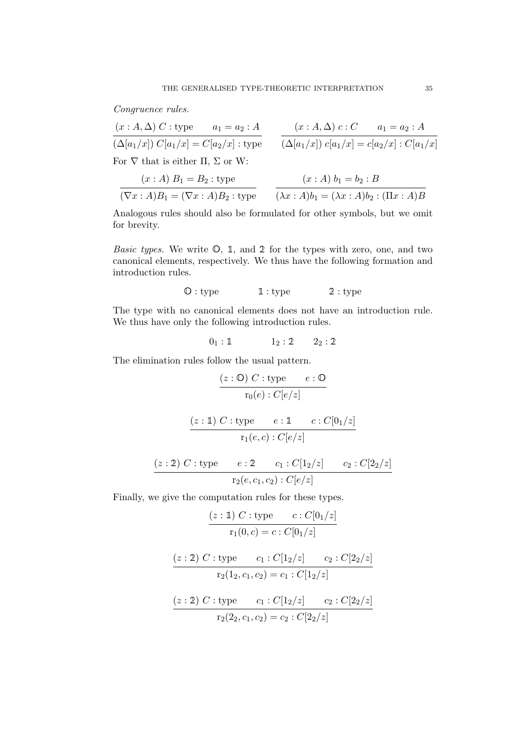Congruence rules.

$$
(x:A,\Delta) C: \text{type} \qquad a_1 = a_2 : A
$$
  
\n
$$
\overline{(\Delta[a_1/x]) C[a_1/x]} = C[a_2/x] : \text{type}
$$
  
\n
$$
(x:A,\Delta) c : C \qquad a_1 = a_2 : A
$$
  
\n
$$
\overline{(\Delta[a_1/x]) C[a_1/x]} = c[a_2/x] : C[a_1/x]
$$
  
\nFor  $\nabla$  that is either  $\Pi$ ,  $\Sigma$  or W:

$$
\frac{(x:A) B_1 = B_2 : \text{type}}{(\nabla x : A)B_1 = (\nabla x : A)B_2 : \text{type}} \qquad \frac{(x:A) b_1 = b_2 : B}{(\lambda x : A)b_1 = (\lambda x : A)b_2 : (\Pi x : A)B}
$$

Analogous rules should also be formulated for other symbols, but we omit for brevity.

*Basic types.* We write  $\mathbb{O}$ , 1, and 2 for the types with zero, one, and two canonical elements, respectively. We thus have the following formation and introduction rules.

# $\mathbb{O}:$  type  $\mathbb{1}:$  type  $\mathbb{2}:$  type

The type with no canonical elements does not have an introduction rule. We thus have only the following introduction rules.

$$
0_1:1\qquad \qquad 1_2:2 \qquad 2_2:2
$$

The elimination rules follow the usual pattern.

$$
\cfrac{(z : \mathbb{O}) \ C : \text{type} \qquad e : \mathbb{O}}{\text{r}_0(e) : C[e/z]}
$$
\n
$$
\cfrac{(z : \mathbb{1}) \ C : \text{type} \qquad e : \mathbb{1} \qquad c : C[0_1/z]}{\text{r}_1(e, c) : C[e/z]}
$$
\n
$$
\cfrac{(z : \mathbb{2}) \ C : \text{type} \qquad e : \mathbb{2} \qquad c_1 : C[\mathbb{1}_2/z] \qquad c_2 : C[\mathbb{2}_2/z]}{\text{r}_2(e, c_1, c_2) : C[e/z]}
$$

Finally, we give the computation rules for these types.

$$
\frac{(z:\mathbb{1}) \ C : \text{type} \ }{r_1(0,c) = c : C[0_1/z]}
$$
\n
$$
\frac{(z:\mathbb{2}) \ C : \text{type} \ }{r_2(1_2,c_1,c_2) = c_1 : C[1_2/z] \ } \frac{c_2 : C[2_2/z]}{r_2(2_2,c_1,c_2) = c_2 : C[2_2/z]}
$$
\n
$$
\frac{(z:\mathbb{2}) \ C : \text{type} \ }{r_2(2_2,c_1,c_2) = c_2 : C[2_2/z]}
$$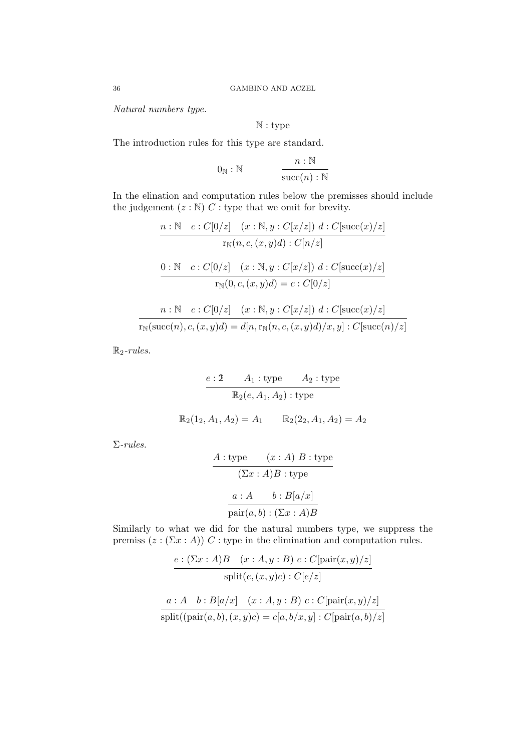Natural numbers type.

$$
\mathbb{N}: \mathrm{type}
$$

The introduction rules for this type are standard.

$$
0_{\mathbb{N}} : \mathbb{N} \qquad \qquad \frac{n : \mathbb{N}}{\text{succ}(n) : \mathbb{N}}
$$

In the elination and computation rules below the premisses should include the judgement  $(z : \mathbb{N})$  C : type that we omit for brevity.

$$
\frac{n:\mathbb{N} \quad c:C[0/z] \quad (x:\mathbb{N},y:C[x/z]) \ d:C[\text{succ}(x)/z]}{r_{\mathbb{N}}(n,c,(x,y)d):C[n/z]}
$$

$$
\frac{0:\mathbb{N} \quad c:C[0/z] \quad (x:\mathbb{N},y:C[x/z]) \ d:C[\text{succ}(x)/z]}{r_{\mathbb{N}}(0,c,(x,y)d)=c:C[0/z]}
$$

$$
n: \mathbb{N} \quad c: C[0/z] \quad (x: \mathbb{N}, y: C[x/z]) \ d: C[\mathrm{succ}(x)/z]
$$

$$
\overline{r_{\mathbb{N}}(\mathrm{succ}(n), c, (x, y)d) = d[n, r_{\mathbb{N}}(n, c, (x, y)d)/x, y]: C[\mathrm{succ}(n)/z]}
$$

 $\mathbb{R}_2$ -rules.

$$
e: 2 \t A_1: \text{type} \t A_2: \text{type}
$$

$$
\mathbb{R}_2(e, A_1, A_2): \text{type}
$$

$$
\mathbb{R}_2(1_2, A_1, A_2) = A_1 \t \mathbb{R}_2(2_2, A_1, A_2) = A_2
$$

Σ-rules.

$$
A: \text{type} \qquad (x:A) \ B: \text{type}
$$

$$
(\Sigma x:A)B: \text{type}
$$

$$
a:A \qquad b: B[a/x]
$$

$$
\overline{\text{pair}(a,b): (\Sigma x:A)B}
$$

Similarly to what we did for the natural numbers type, we suppress the premiss  $(z : (\Sigma x : A))$  C : type in the elimination and computation rules.

$$
\frac{e:(\Sigma x:A)B \quad (x:A,y:B) \ c:C[\text{pair}(x,y)/z]}{\text{split}(e,(x,y)c):C[e/z]}
$$

$$
\frac{a:A \quad b:B[a/x] \quad (x:A,y:B) \ c:C[\text{pair}(x,y)/z]}{\text{split}((\text{pair}(a,b),(x,y)c)=c[a,b/x,y]:C[\text{pair}(a,b)/z]}
$$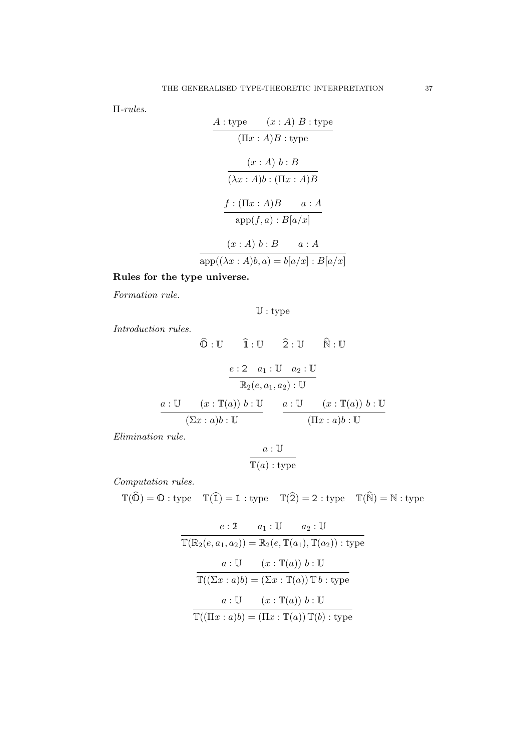Π-rules.

$$
A: \text{type} \qquad (x:A) \ B: \text{type}
$$
\n
$$
(\Pi x:A)B: \text{type}
$$
\n
$$
(x:A) \ b:B
$$
\n
$$
\overline{(\lambda x:A)b:(\Pi x:A)B}
$$
\n
$$
f: (\Pi x:A)B \qquad a:A
$$
\n
$$
\text{app}(f,a): B[a/x]
$$
\n
$$
(x:A) \ b:B \qquad a:A
$$
\n
$$
\text{app}((\lambda x:A)b,a) = b[a/x]: B[a/x]
$$

Rules for the type universe.

Formation rule.

$$
\mathbb{U}:\mathrm{type}
$$

Introduction rules.

$$
\widehat{\mathbb{O}} : \mathbb{U} \qquad \widehat{\mathbb{1}} : \mathbb{U} \qquad \widehat{\mathbb{2}} : \mathbb{U} \qquad \widehat{\mathbb{N}} : \mathbb{U}
$$
\n
$$
\underbrace{e : 2 \quad a_1 : \mathbb{U} \quad a_2 : \mathbb{U}}_{\mathbb{R}_2(e, a_1, a_2) : \mathbb{U}} \qquad \qquad \overbrace{\mathbb{R}_2(v, a_1, a_2) : \mathbb{U}}^{a : \mathbb{U}} \qquad (x : \mathbb{T}(a)) \ b : \mathbb{U}}^{a : \mathbb{U}} \qquad \qquad \overbrace{(\Sigma x : a)b : \mathbb{U}}^{a : \mathbb{U}} \qquad (\Pi x : a)b : \mathbb{U}}
$$

Elimination rule.

$$
\frac{a:\mathbb{U}}{\mathbb{T}(a):\text{type}}
$$

Computation rules.

$$
\mathbb{T}(\widehat{O}) = O : \text{type} \quad \mathbb{T}(\widehat{\mathbb{1}}) = \mathbb{1} : \text{type} \quad \mathbb{T}(\widehat{2}) = 2 : \text{type} \quad \mathbb{T}(\widehat{N}) = N : \text{type}
$$

$$
e: 2 \t a_1: U \t a_2: U
$$
  
\n
$$
\mathbb{T}(\mathbb{R}_2(e, a_1, a_2)) = \mathbb{R}_2(e, \mathbb{T}(a_1), \mathbb{T}(a_2)) : \text{type}
$$
  
\n
$$
a: U \t (x: \mathbb{T}(a)) b: U
$$
  
\n
$$
\mathbb{T}((\Sigma x: a)b) = (\Sigma x: \mathbb{T}(a)) \mathbb{T} b: \text{type}
$$
  
\n
$$
a: U \t (x: \mathbb{T}(a)) b: U
$$
  
\n
$$
\mathbb{T}((\Pi x: a)b) = (\Pi x: \mathbb{T}(a)) \mathbb{T}(b) : \text{type}
$$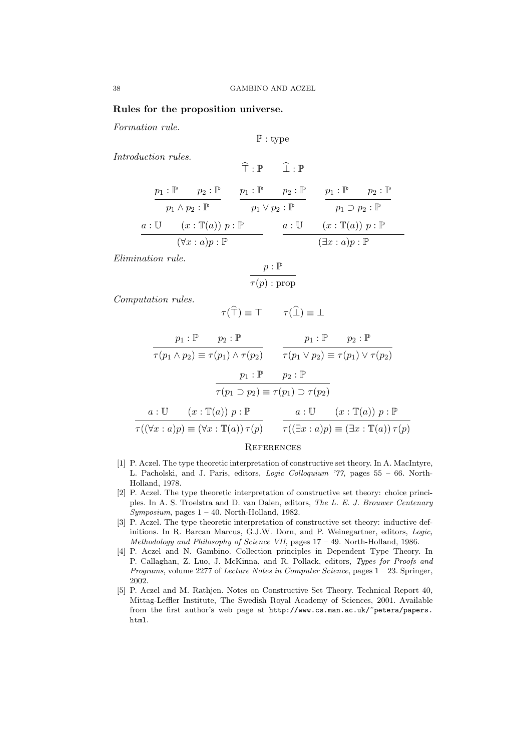### Rules for the proposition universe.

Formation rule.

$$
\mathbb{P}:\mathrm{type}
$$

 $\hat{\tau} \cdot \mathbb{P}$   $\hat{\cdot} \cdot \mathbb{P}$ 

Introduction rules.

$$
\begin{array}{c}\np_1: \mathbb{P} \quad p_2: \mathbb{P} \quad p_1: \mathbb{P} \quad p_2: \mathbb{P} \quad p_2: \mathbb{P} \quad p_1: \mathbb{P} \quad p_2: \mathbb{P} \quad p_2: \mathbb{P} \quad p_1 \vee p_2: \mathbb{P} \quad p_1 \supset p_2: \mathbb{P} \quad p_2: \mathbb{P} \quad p_1 \supset p_2: \mathbb{P} \quad p_2: \mathbb{P} \quad p_2: \mathbb{P} \quad p_1 \wedge p_2: \mathbb{P} \quad p_2: \mathbb{P} \quad p_2: \mathbb{P} \quad p_2: \mathbb{P} \quad p_2: \mathbb{P} \quad p_2: \mathbb{P} \quad p_2: \mathbb{P} \quad p_2: \mathbb{P} \quad p_2: \mathbb{P} \quad p_2: \mathbb{P} \quad p_2: \mathbb{P} \quad p_2: \mathbb{P} \quad p_2: \mathbb{P} \quad p_2: \mathbb{P} \quad p_2: \mathbb{P} \quad p_2: \mathbb{P} \quad p_2: \mathbb{P} \quad p_2: \mathbb{P} \quad p_2: \mathbb{P} \quad p_2: \mathbb{P} \quad p_2: \mathbb{P} \quad p_2: \mathbb{P} \quad p_2: \mathbb{P} \quad p_2: \mathbb{P} \quad p_2: \mathbb{P} \quad p_2: \mathbb{P} \quad p_2: \mathbb{P} \quad p_2: \mathbb{P} \quad p_2: \mathbb{P} \quad p_2: \mathbb{P} \quad p_2: \mathbb{P} \quad p_2: \mathbb{P} \quad p_2: \mathbb{P} \quad p_2: \mathbb{P} \quad p_2: \mathbb{P} \quad p_2: \mathbb{P} \quad p_2: \mathbb{P} \quad p_2: \mathbb{P} \quad p_2: \mathbb{P} \quad p_2: \mathbb{P} \quad p_2: \mathbb{P} \quad p_2: \mathbb{P} \quad p_2: \mathbb{P} \quad p_2: \mathbb{P} \quad p_2: \mathbb{P} \quad p_2: \mathbb{P} \quad p_2: \mathbb{P
$$

Elimination rule.

$$
\frac{p : \mathbb{P}}{\tau(p) : \text{prop}}
$$

Computation rules.

$$
\tau(\widehat{\top}) \equiv \top \qquad \tau(\widehat{\bot}) \equiv \bot
$$

$$
\frac{p_1 : \mathbb{P} \qquad p_2 : \mathbb{P} \qquad p_1 : \mathbb{P} \qquad p_2 : \mathbb{P}
$$
\n
$$
\tau(p_1 \wedge p_2) \equiv \tau(p_1) \wedge \tau(p_2) \qquad \tau(p_1 \vee p_2) \equiv \tau(p_1) \vee \tau(p_2)
$$
\n
$$
\frac{p_1 : \mathbb{P} \qquad p_2 : \mathbb{P} \qquad \qquad \tau(p_1 \supset p_2) \equiv \tau(p_1) \supset \tau(p_2)}
$$
\n
$$
a : \mathbb{U} \qquad (x : \mathbb{T}(a)) \ p : \mathbb{P} \qquad a : \mathbb{U} \qquad (x : \mathbb{T}(a)) \ p : \mathbb{P} \qquad \qquad \tau((\exists x : a)p) \equiv (\exists x : \mathbb{T}(a)) \ \tau(p)
$$

#### **REFERENCES**

- [1] P. Aczel. The type theoretic interpretation of constructive set theory. In A. MacIntyre, L. Pacholski, and J. Paris, editors, Logic Colloquium '77, pages 55 – 66. North-Holland, 1978.
- [2] P. Aczel. The type theoretic interpretation of constructive set theory: choice principles. In A. S. Troelstra and D. van Dalen, editors, The L. E. J. Brouwer Centenary Symposium, pages  $1 - 40$ . North-Holland, 1982.
- [3] P. Aczel. The type theoretic interpretation of constructive set theory: inductive definitions. In R. Barcan Marcus, G.J.W. Dorn, and P. Weinegartner, editors, Logic, Methodology and Philosophy of Science VII, pages 17 – 49. North-Holland, 1986.
- [4] P. Aczel and N. Gambino. Collection principles in Dependent Type Theory. In P. Callaghan, Z. Luo, J. McKinna, and R. Pollack, editors, Types for Proofs and Programs, volume 2277 of Lecture Notes in Computer Science, pages 1 – 23. Springer, 2002.
- [5] P. Aczel and M. Rathjen. Notes on Constructive Set Theory. Technical Report 40, Mittag-Leffler Institute, The Swedish Royal Academy of Sciences, 2001. Available from the first author's web page at http://www.cs.man.ac.uk/~petera/papers. html.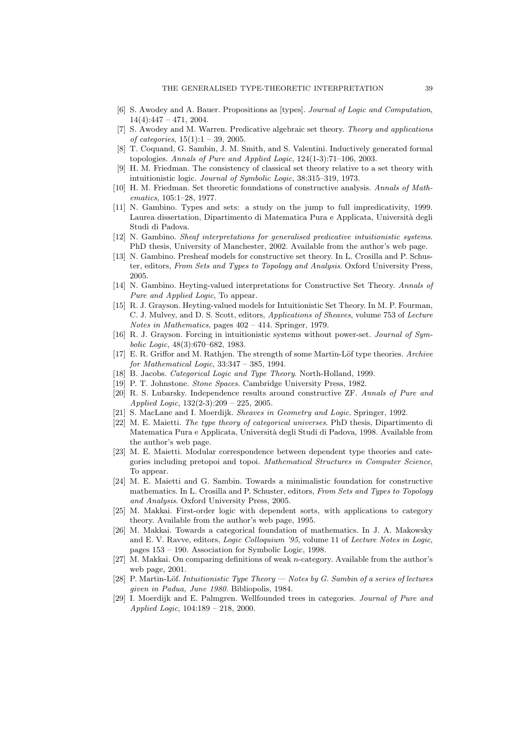- [6] S. Awodey and A. Bauer. Propositions as [types]. Journal of Logic and Computation,  $14(4):447 - 471, 2004.$
- [7] S. Awodey and M. Warren. Predicative algebraic set theory. Theory and applications of categories,  $15(1):1 - 39$ , 2005.
- [8] T. Coquand, G. Sambin, J. M. Smith, and S. Valentini. Inductively generated formal topologies. Annals of Pure and Applied Logic, 124(1-3):71–106, 2003.
- [9] H. M. Friedman. The consistency of classical set theory relative to a set theory with intuitionistic logic. Journal of Symbolic Logic, 38:315–319, 1973.
- [10] H. M. Friedman. Set theoretic foundations of constructive analysis. Annals of Mathematics, 105:1–28, 1977.
- [11] N. Gambino. Types and sets: a study on the jump to full impredicativity, 1999. Laurea dissertation, Dipartimento di Matematica Pura e Applicata, Università degli Studi di Padova.
- [12] N. Gambino. Sheaf interpretations for generalised predicative intuitionistic systems. PhD thesis, University of Manchester, 2002. Available from the author's web page.
- [13] N. Gambino. Presheaf models for constructive set theory. In L. Crosilla and P. Schuster, editors, From Sets and Types to Topology and Analysis. Oxford University Press, 2005.
- [14] N. Gambino. Heyting-valued interpretations for Constructive Set Theory. Annals of Pure and Applied Logic, To appear.
- [15] R. J. Grayson. Heyting-valued models for Intuitionistic Set Theory. In M. P. Fourman, C. J. Mulvey, and D. S. Scott, editors, Applications of Sheaves, volume 753 of Lecture Notes in Mathematics, pages 402 – 414. Springer, 1979.
- [16] R. J. Grayson. Forcing in intuitionistic systems without power-set. Journal of Symbolic Logic, 48(3):670–682, 1983.
- [17] E. R. Griffor and M. Rathjen. The strength of some Martin-Löf type theories. Archive for Mathematical Logic, 33:347 – 385, 1994.
- [18] B. Jacobs. *Categorical Logic and Type Theory*. North-Holland, 1999.
- [19] P. T. Johnstone. Stone Spaces. Cambridge University Press, 1982.
- [20] R. S. Lubarsky. Independence results around constructive ZF. Annals of Pure and Applied Logic, 132(2-3):209 – 225, 2005.
- [21] S. MacLane and I. Moerdijk. Sheaves in Geometry and Logic. Springer, 1992.
- [22] M. E. Maietti. The type theory of categorical universes. PhD thesis, Dipartimento di Matematica Pura e Applicata, Università degli Studi di Padova, 1998. Available from the author's web page.
- [23] M. E. Maietti. Modular correspondence between dependent type theories and categories including pretopoi and topoi. Mathematical Structures in Computer Science, To appear.
- [24] M. E. Maietti and G. Sambin. Towards a minimalistic foundation for constructive mathematics. In L. Crosilla and P. Schuster, editors, From Sets and Types to Topology and Analysis. Oxford University Press, 2005.
- [25] M. Makkai. First-order logic with dependent sorts, with applications to category theory. Available from the author's web page, 1995.
- [26] M. Makkai. Towards a categorical foundation of mathematics. In J. A. Makowsky and E. V. Ravve, editors, Logic Colloquium '95, volume 11 of Lecture Notes in Logic, pages 153 – 190. Association for Symbolic Logic, 1998.
- [27] M. Makkai. On comparing definitions of weak n-category. Available from the author's web page, 2001.
- [28] P. Martin-Löf. Intuitionistic Type Theory  $-$  Notes by G. Sambin of a series of lectures given in Padua, June 1980. Bibliopolis, 1984.
- [29] I. Moerdijk and E. Palmgren. Wellfounded trees in categories. Journal of Pure and Applied Logic, 104:189 – 218, 2000.